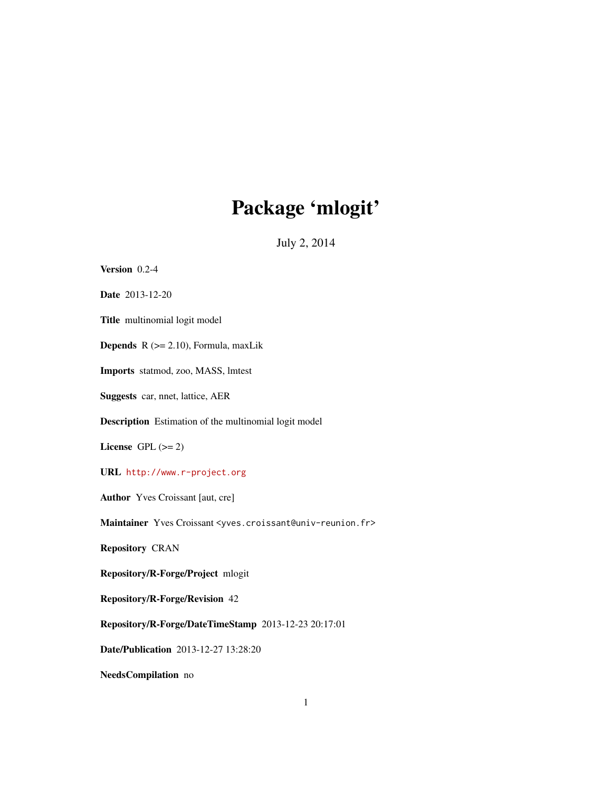# Package 'mlogit'

July 2, 2014

<span id="page-0-0"></span>

| Version 0.2-4                                                                               |
|---------------------------------------------------------------------------------------------|
| Date 2013-12-20                                                                             |
| Title multinomial logit model                                                               |
| <b>Depends</b> $R$ ( $>= 2.10$ ), Formula, maxLik                                           |
| <b>Imports</b> statmod, zoo, MASS, lmtest                                                   |
| Suggests car, nnet, lattice, AER                                                            |
| Description Estimation of the multinomial logit model                                       |
| License GPL $(>= 2)$                                                                        |
| URL http://www.r-project.org                                                                |
| <b>Author</b> Yves Croissant [aut, cre]                                                     |
| Maintainer Yves Croissant <yves.croissant@univ-reunion.fr></yves.croissant@univ-reunion.fr> |
| <b>Repository CRAN</b>                                                                      |
| Repository/R-Forge/Project mlogit                                                           |
| Repository/R-Forge/Revision 42                                                              |
| Repository/R-Forge/DateTimeStamp 2013-12-23 20:17:01                                        |
| Date/Publication 2013-12-27 13:28:20                                                        |
| NeedsCompilation no                                                                         |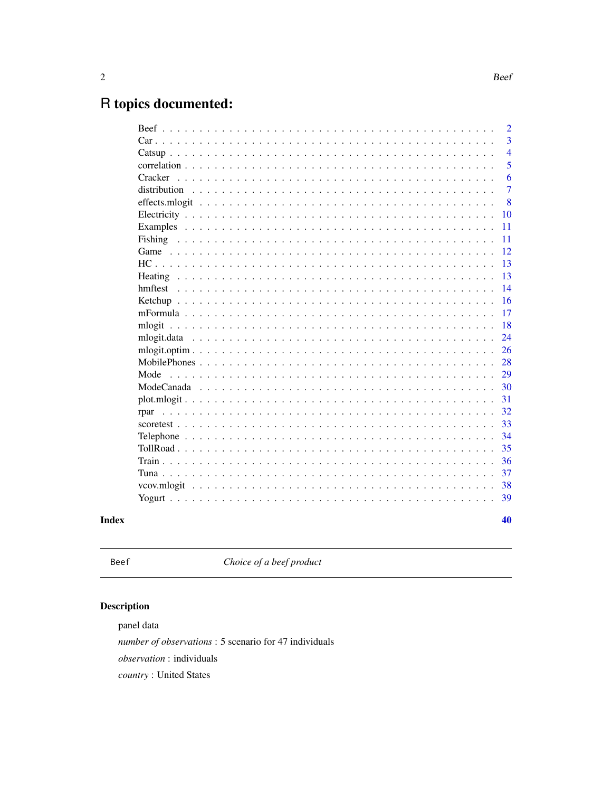## <span id="page-1-0"></span>R topics documented:

|              | $\overline{2}$ |
|--------------|----------------|
|              | 3              |
|              | $\overline{4}$ |
|              | 5              |
| Cracker      | 6              |
| distribution | $\overline{7}$ |
|              | 8              |
|              | 10             |
| Examples     | 11             |
| Fishing      | 11             |
|              | 12             |
|              | 13             |
|              | 13             |
| hmftest      | 14             |
|              | 16             |
|              | 17             |
|              | 18             |
|              | 24             |
|              | 26             |
|              | 28             |
| Mode         | 29             |
|              | 30             |
|              | 31             |
| rpar         | 32             |
|              | 33             |
|              | 34             |
|              | 35             |
|              | 36             |
|              | 37             |
|              | 38             |
|              | 39             |
|              | 40             |
|              |                |

### **Index**

Beef

Choice of a beef product

## Description

panel data

number of observations : 5 scenario for 47 individuals

 $\emph{observation}$ : individuals

country: United States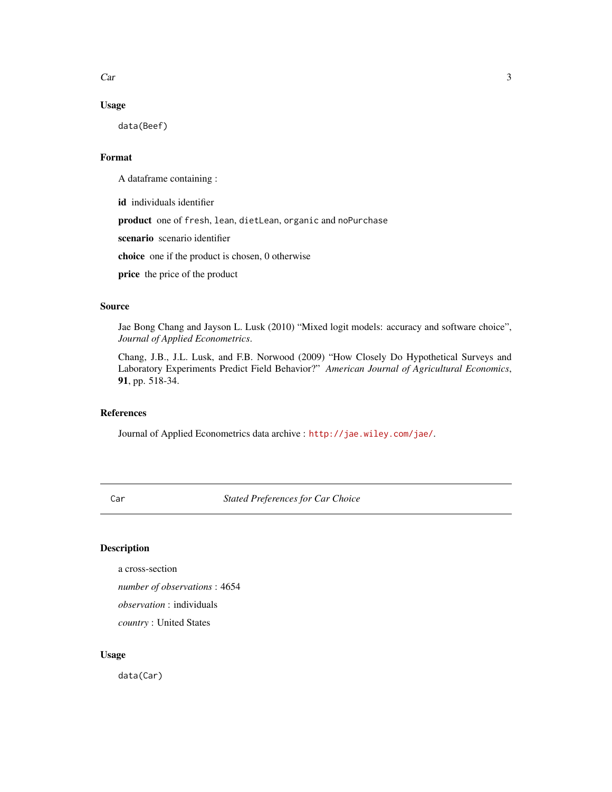<span id="page-2-0"></span> $Car$  3

#### Usage

data(Beef)

#### Format

A dataframe containing :

id individuals identifier

product one of fresh, lean, dietLean, organic and noPurchase

scenario scenario identifier

choice one if the product is chosen, 0 otherwise

price the price of the product

#### Source

Jae Bong Chang and Jayson L. Lusk (2010) "Mixed logit models: accuracy and software choice", *Journal of Applied Econometrics*.

Chang, J.B., J.L. Lusk, and F.B. Norwood (2009) "How Closely Do Hypothetical Surveys and Laboratory Experiments Predict Field Behavior?" *American Journal of Agricultural Economics*, 91, pp. 518-34.

#### References

Journal of Applied Econometrics data archive : <http://jae.wiley.com/jae/>.

Car *Stated Preferences for Car Choice*

#### Description

a cross-section *number of observations* : 4654 *observation* : individuals *country* : United States

#### Usage

data(Car)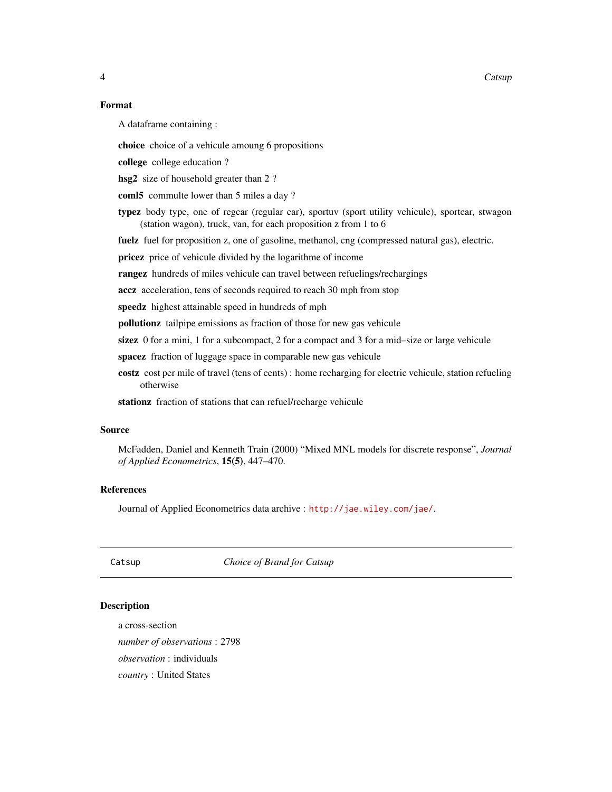#### <span id="page-3-0"></span>Format

A dataframe containing :

choice choice of a vehicule amoung 6 propositions

college college education ?

hsg2 size of household greater than 2?

coml5 commulte lower than 5 miles a day ?

typez body type, one of regcar (regular car), sportuv (sport utility vehicule), sportcar, stwagon (station wagon), truck, van, for each proposition z from 1 to 6

fuelz fuel for proposition z, one of gasoline, methanol, cng (compressed natural gas), electric.

pricez price of vehicule divided by the logarithme of income

rangez hundreds of miles vehicule can travel between refuelings/rechargings

accz acceleration, tens of seconds required to reach 30 mph from stop

speedz highest attainable speed in hundreds of mph

pollutionz tailpipe emissions as fraction of those for new gas vehicule

sizez 0 for a mini, 1 for a subcompact, 2 for a compact and 3 for a mid–size or large vehicule

spacez fraction of luggage space in comparable new gas vehicule

costz cost per mile of travel (tens of cents) : home recharging for electric vehicule, station refueling otherwise

stationz fraction of stations that can refuel/recharge vehicule

#### Source

McFadden, Daniel and Kenneth Train (2000) "Mixed MNL models for discrete response", *Journal of Applied Econometrics*, 15(5), 447–470.

#### References

Journal of Applied Econometrics data archive : <http://jae.wiley.com/jae/>.

Catsup *Choice of Brand for Catsup*

#### Description

a cross-section *number of observations* : 2798 *observation* : individuals *country* : United States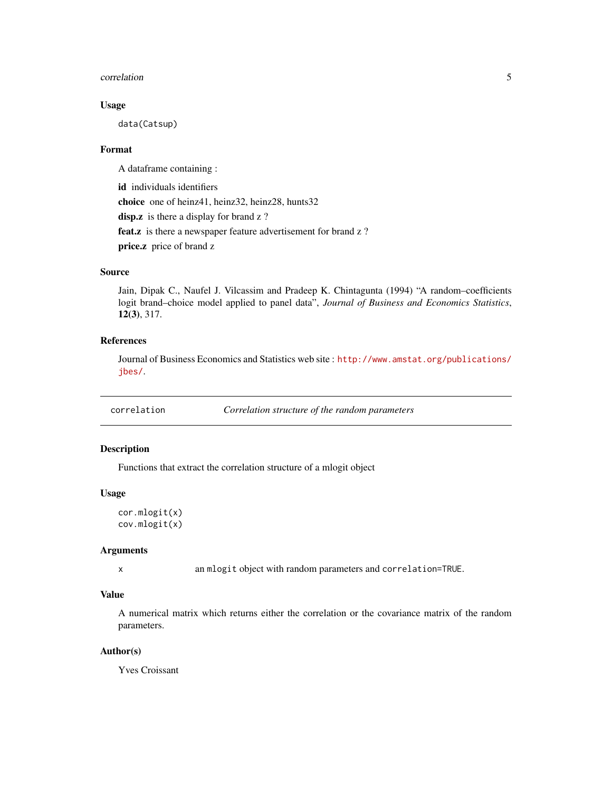#### <span id="page-4-0"></span>correlation 5

#### Usage

data(Catsup)

#### Format

A dataframe containing :

id individuals identifiers choice one of heinz41, heinz32, heinz28, hunts32 disp.z is there a display for brand z ? feat.z is there a newspaper feature advertisement for brand z? price.z price of brand z

#### Source

Jain, Dipak C., Naufel J. Vilcassim and Pradeep K. Chintagunta (1994) "A random–coefficients logit brand–choice model applied to panel data", *Journal of Business and Economics Statistics*, 12(3), 317.

#### References

Journal of Business Economics and Statistics web site : [http://www.amstat.org/publications/](http://www.amstat.org/publications/jbes/) [jbes/](http://www.amstat.org/publications/jbes/).

correlation *Correlation structure of the random parameters*

#### Description

Functions that extract the correlation structure of a mlogit object

#### Usage

```
cor.mlogit(x)
cov.mlogit(x)
```
#### Arguments

x an mlogit object with random parameters and correlation=TRUE.

#### Value

A numerical matrix which returns either the correlation or the covariance matrix of the random parameters.

#### Author(s)

Yves Croissant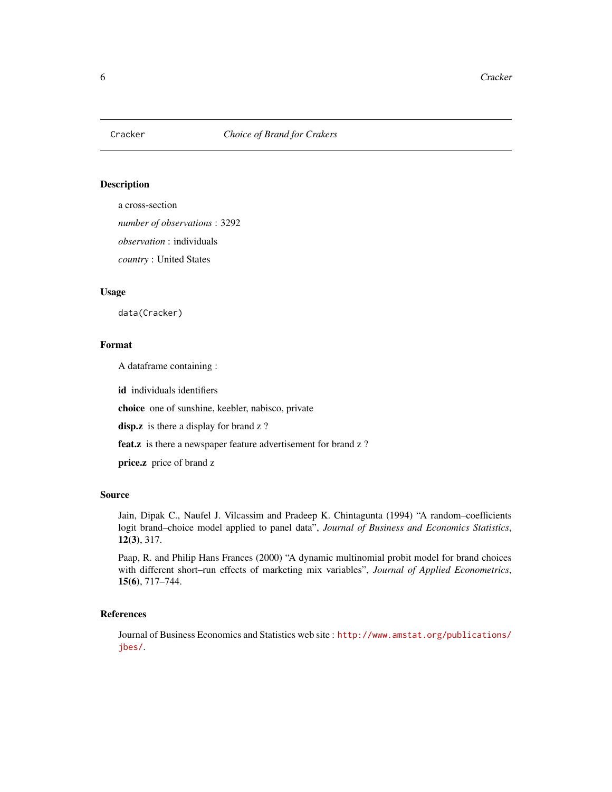<span id="page-5-0"></span>

a cross-section

*number of observations* : 3292

*observation* : individuals

*country* : United States

#### Usage

data(Cracker)

#### Format

A dataframe containing :

id individuals identifiers

choice one of sunshine, keebler, nabisco, private

disp.z is there a display for brand z ?

feat.z is there a newspaper feature advertisement for brand z?

price.z price of brand z

#### Source

Jain, Dipak C., Naufel J. Vilcassim and Pradeep K. Chintagunta (1994) "A random–coefficients logit brand–choice model applied to panel data", *Journal of Business and Economics Statistics*, 12(3), 317.

Paap, R. and Philip Hans Frances (2000) "A dynamic multinomial probit model for brand choices with different short–run effects of marketing mix variables", *Journal of Applied Econometrics*, 15(6), 717–744.

#### References

Journal of Business Economics and Statistics web site : [http://www.amstat.org/publications/](http://www.amstat.org/publications/jbes/) [jbes/](http://www.amstat.org/publications/jbes/).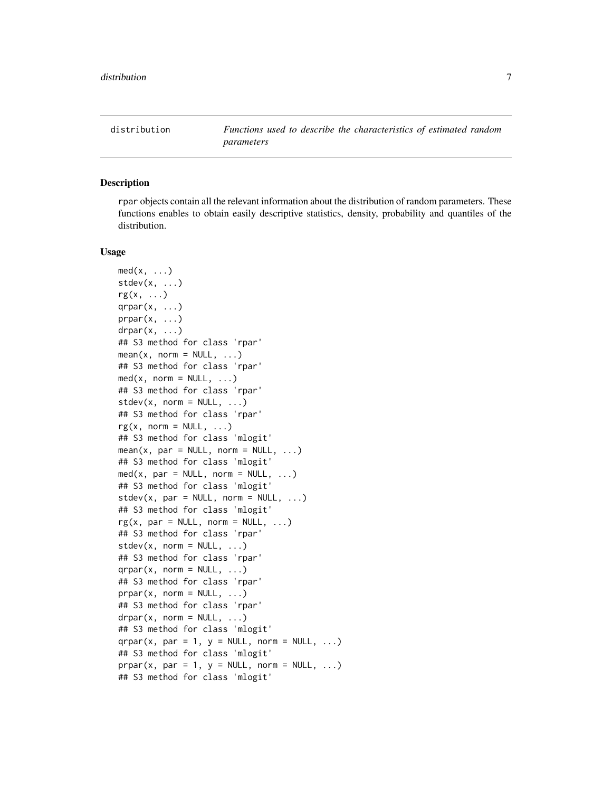<span id="page-6-1"></span><span id="page-6-0"></span>distribution *Functions used to describe the characteristics of estimated random parameters*

#### **Description**

rpar objects contain all the relevant information about the distribution of random parameters. These functions enables to obtain easily descriptive statistics, density, probability and quantiles of the distribution.

#### Usage

```
med(x, \ldots)stdev(x, \ldots)rg(x, \ldots)qrpar(x, ...)
prpar(x, \ldots)drpar(x, \ldots)## S3 method for class 'rpar'
mean(x, norm = NULL, ...)## S3 method for class 'rpar'
med(x, norm = NULL, ...)## S3 method for class 'rpar'
stdev(x, norm = NULL, ...)## S3 method for class 'rpar'
rg(x, norm = NULL, ...)## S3 method for class 'mlogit'
mean(x, par = NULL, norm = NULL, ...)## S3 method for class 'mlogit'
med(x, par = NULL, norm = NULL, ...)## S3 method for class 'mlogit'
stdev(x, par = NULL, norm = NULL, ...)## S3 method for class 'mlogit'
rg(x, par = NULL, norm = NULL, ...)## S3 method for class 'rpar'
stdev(x, norm = NULL, ...)## S3 method for class 'rpar'
qrpar(x, \text{norm} = \text{NULL}, \ldots)## S3 method for class 'rpar'
prpar(x, norm = NULL, ...)## S3 method for class 'rpar'
drpar(x, \text{norm} = \text{NULL}, \ldots)## S3 method for class 'mlogit'
qrpar(x, par = 1, y = NULL, norm = NULL, ...)
## S3 method for class 'mlogit'
prpar(x, par = 1, y = NULL, norm = NULL, ...)## S3 method for class 'mlogit'
```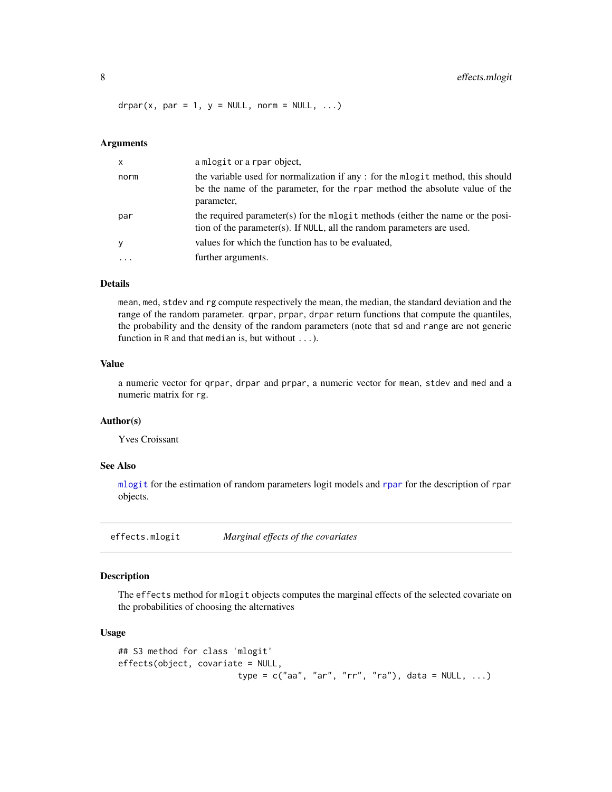#### <span id="page-7-0"></span>8 effects.mlogit

 $drpar(x, par = 1, y = NULL, norm = NULL, ...)$ 

#### Arguments

| $\mathsf{x}$ | a mlogit or a rpar object,                                                                                                                                                  |
|--------------|-----------------------------------------------------------------------------------------------------------------------------------------------------------------------------|
| norm         | the variable used for normalization if any: for the mlogit method, this should<br>be the name of the parameter, for the rpar method the absolute value of the<br>parameter, |
| par          | the required parameter(s) for the mlogit methods (either the name or the posi-<br>tion of the parameter(s). If NULL, all the random parameters are used.                    |
| y            | values for which the function has to be evaluated,                                                                                                                          |
|              | further arguments.                                                                                                                                                          |

#### **Details**

mean, med, stdev and rg compute respectively the mean, the median, the standard deviation and the range of the random parameter. qrpar, prpar, drpar return functions that compute the quantiles, the probability and the density of the random parameters (note that sd and range are not generic function in R and that median is, but without ...).

#### Value

a numeric vector for qrpar, drpar and prpar, a numeric vector for mean, stdev and med and a numeric matrix for rg.

#### Author(s)

Yves Croissant

#### See Also

[mlogit](#page-17-1) for the estimation of random parameters logit models and [rpar](#page-31-1) for the description of rpar objects.

effects.mlogit *Marginal effects of the covariates*

#### Description

The effects method for mlogit objects computes the marginal effects of the selected covariate on the probabilities of choosing the alternatives

#### Usage

```
## S3 method for class 'mlogit'
effects(object, covariate = NULL,
                        type = c("aa", "ar", "rr", "ra"), data = NULL, ...)
```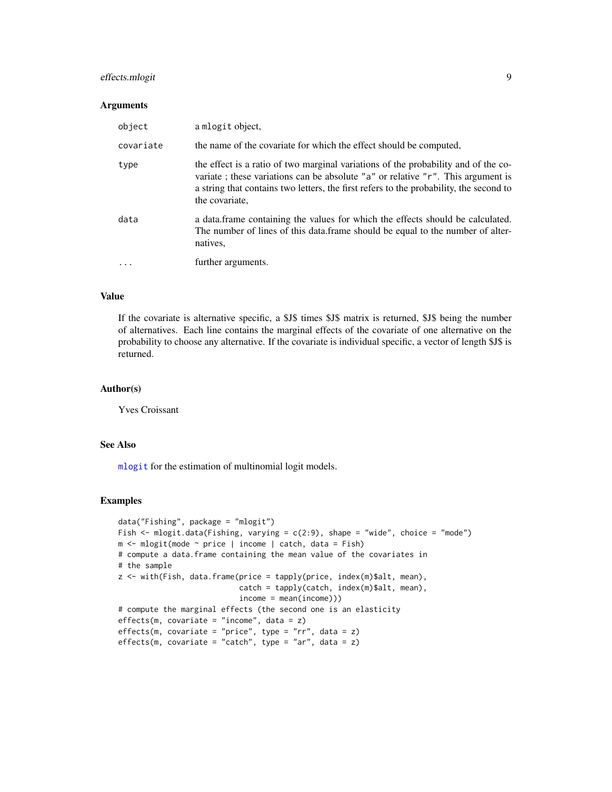#### <span id="page-8-0"></span>effects.mlogit 9

#### **Arguments**

| object    | a mlogit object,                                                                                                                                                                                                                                                                      |
|-----------|---------------------------------------------------------------------------------------------------------------------------------------------------------------------------------------------------------------------------------------------------------------------------------------|
| covariate | the name of the covariate for which the effect should be computed,                                                                                                                                                                                                                    |
| type      | the effect is a ratio of two marginal variations of the probability and of the co-<br>variate; these variations can be absolute "a" or relative " $r$ ". This argument is<br>a string that contains two letters, the first refers to the probability, the second to<br>the covariate. |
| data      | a data.frame containing the values for which the effects should be calculated.<br>The number of lines of this data. frame should be equal to the number of alter-<br>natives.                                                                                                         |
| $\ddotsc$ | further arguments.                                                                                                                                                                                                                                                                    |

#### Value

If the covariate is alternative specific, a \$J\$ times \$J\$ matrix is returned, \$J\$ being the number of alternatives. Each line contains the marginal effects of the covariate of one alternative on the probability to choose any alternative. If the covariate is individual specific, a vector of length \$J\$ is returned.

#### Author(s)

Yves Croissant

#### See Also

[mlogit](#page-17-1) for the estimation of multinomial logit models.

#### Examples

```
data("Fishing", package = "mlogit")
Fish \le mlogit.data(Fishing, varying = c(2:9), shape = "wide", choice = "mode")
m <- mlogit(mode ~ price | income | catch, data = Fish)
# compute a data.frame containing the mean value of the covariates in
# the sample
z <- with(Fish, data.frame(price = tapply(price, index(m)$alt, mean),
                           catch = tapply(catch, index(m)$alt, mean),
                           income = mean(income)))
# compute the marginal effects (the second one is an elasticity
effects(m, covariate = "income", data = z)effects(m, covariate = "price", type = "rr", data = z)effects(m, covariate = "catch", type = "ar", data = z)
```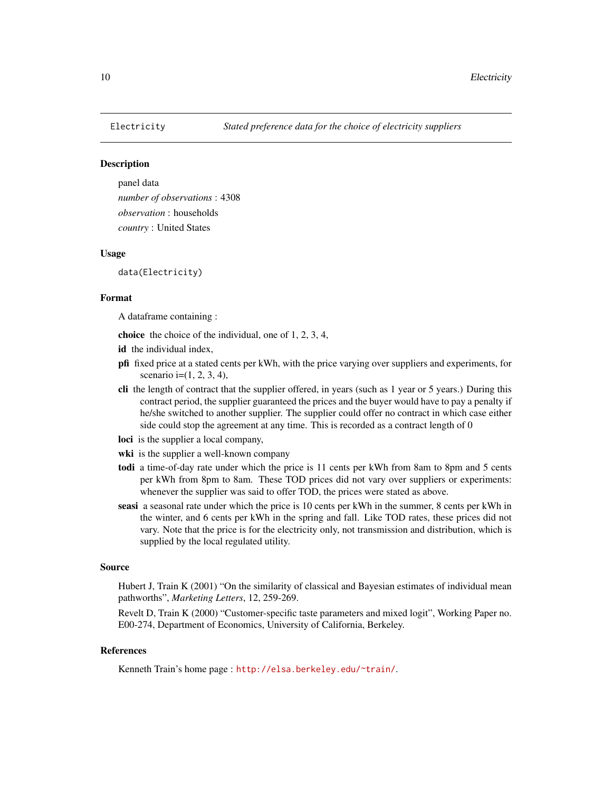<span id="page-9-0"></span>

panel data *number of observations* : 4308 *observation* : households *country* : United States

#### Usage

data(Electricity)

#### Format

A dataframe containing :

choice the choice of the individual, one of 1, 2, 3, 4,

- id the individual index,
- pfi fixed price at a stated cents per kWh, with the price varying over suppliers and experiments, for scenario i= $(1, 2, 3, 4)$ ,
- cli the length of contract that the supplier offered, in years (such as 1 year or 5 years.) During this contract period, the supplier guaranteed the prices and the buyer would have to pay a penalty if he/she switched to another supplier. The supplier could offer no contract in which case either side could stop the agreement at any time. This is recorded as a contract length of 0
- loci is the supplier a local company,
- wki is the supplier a well-known company
- todi a time-of-day rate under which the price is 11 cents per kWh from 8am to 8pm and 5 cents per kWh from 8pm to 8am. These TOD prices did not vary over suppliers or experiments: whenever the supplier was said to offer TOD, the prices were stated as above.
- seasi a seasonal rate under which the price is 10 cents per kWh in the summer, 8 cents per kWh in the winter, and 6 cents per kWh in the spring and fall. Like TOD rates, these prices did not vary. Note that the price is for the electricity only, not transmission and distribution, which is supplied by the local regulated utility.

#### Source

Hubert J, Train K (2001) "On the similarity of classical and Bayesian estimates of individual mean pathworths", *Marketing Letters*, 12, 259-269.

Revelt D, Train K (2000) "Customer-specific taste parameters and mixed logit", Working Paper no. E00-274, Department of Economics, University of California, Berkeley.

#### References

Kenneth Train's home page : <http://elsa.berkeley.edu/~train/>.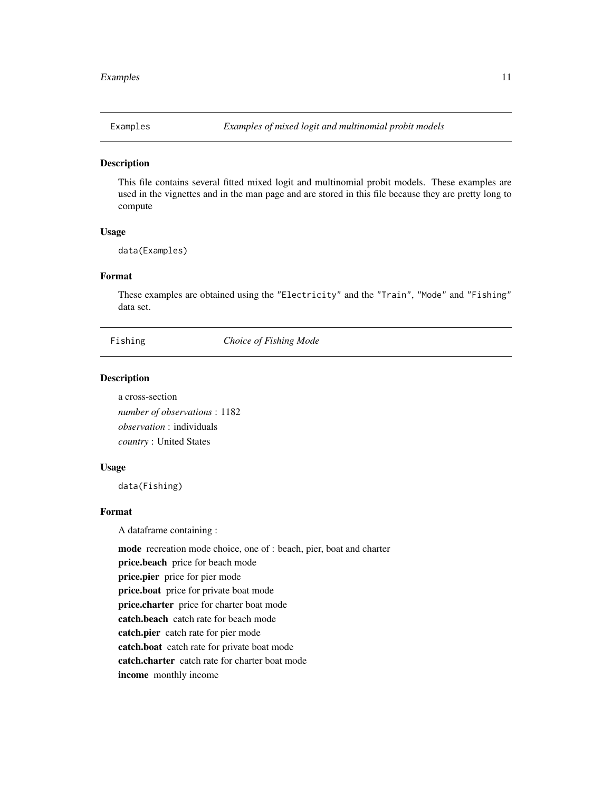<span id="page-10-0"></span>

This file contains several fitted mixed logit and multinomial probit models. These examples are used in the vignettes and in the man page and are stored in this file because they are pretty long to compute

#### Usage

data(Examples)

#### Format

These examples are obtained using the "Electricity" and the "Train", "Mode" and "Fishing" data set.

Fishing *Choice of Fishing Mode*

#### Description

a cross-section *number of observations* : 1182 *observation* : individuals *country* : United States

#### Usage

data(Fishing)

#### Format

A dataframe containing :

mode recreation mode choice, one of : beach, pier, boat and charter

price.beach price for beach mode

price.pier price for pier mode

price.boat price for private boat mode

price.charter price for charter boat mode

catch.beach catch rate for beach mode

catch.pier catch rate for pier mode

catch.boat catch rate for private boat mode

catch.charter catch rate for charter boat mode

income monthly income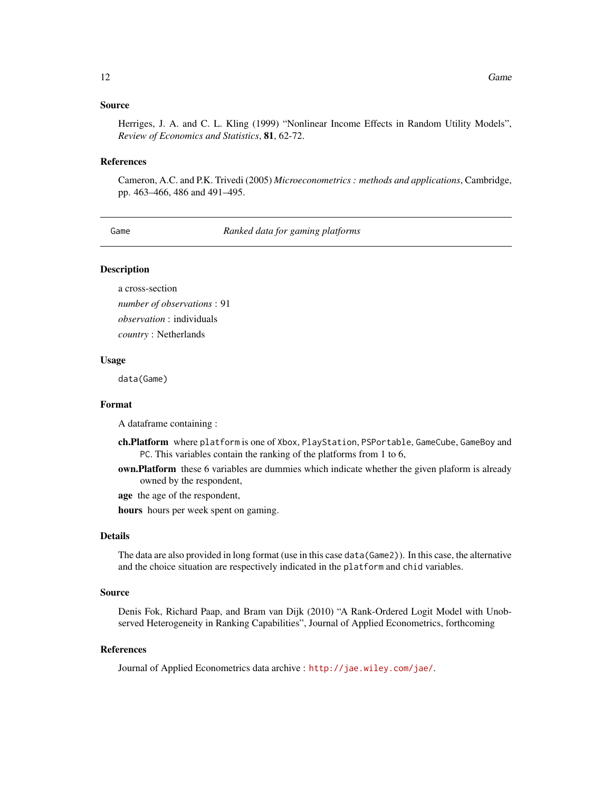#### <span id="page-11-0"></span>Source

Herriges, J. A. and C. L. Kling (1999) "Nonlinear Income Effects in Random Utility Models", *Review of Economics and Statistics*, 81, 62-72.

#### References

Cameron, A.C. and P.K. Trivedi (2005) *Microeconometrics : methods and applications*, Cambridge, pp. 463–466, 486 and 491–495.

Game *Ranked data for gaming platforms*

#### **Description**

a cross-section *number of observations* : 91 *observation* : individuals *country* : Netherlands

#### Usage

data(Game)

#### Format

A dataframe containing :

- ch.Platform where platform is one of Xbox, PlayStation, PSPortable, GameCube, GameBoy and PC. This variables contain the ranking of the platforms from 1 to 6,
- **own.Platform** these 6 variables are dummies which indicate whether the given plaform is already owned by the respondent,

age the age of the respondent,

hours hours per week spent on gaming.

#### Details

The data are also provided in long format (use in this case data(Game2)). In this case, the alternative and the choice situation are respectively indicated in the platform and chid variables.

#### Source

Denis Fok, Richard Paap, and Bram van Dijk (2010) "A Rank-Ordered Logit Model with Unobserved Heterogeneity in Ranking Capabilities", Journal of Applied Econometrics, forthcoming

#### References

Journal of Applied Econometrics data archive : <http://jae.wiley.com/jae/>.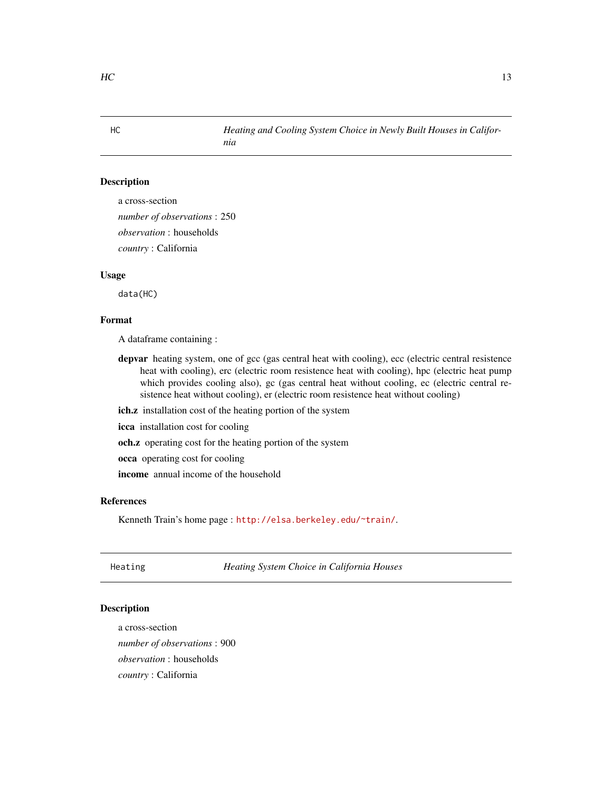<span id="page-12-0"></span>a cross-section *number of observations* : 250 *observation* : households *country* : California

#### Usage

data(HC)

#### Format

A dataframe containing :

- depvar heating system, one of gcc (gas central heat with cooling), ecc (electric central resistence heat with cooling), erc (electric room resistence heat with cooling), hpc (electric heat pump which provides cooling also), gc (gas central heat without cooling, ec (electric central resistence heat without cooling), er (electric room resistence heat without cooling)
- ich.z installation cost of the heating portion of the system

*nia*

- icca installation cost for cooling
- och.z operating cost for the heating portion of the system
- occa operating cost for cooling

income annual income of the household

#### References

Kenneth Train's home page : <http://elsa.berkeley.edu/~train/>.

Heating *Heating System Choice in California Houses*

## Description

a cross-section *number of observations* : 900 *observation* : households *country* : California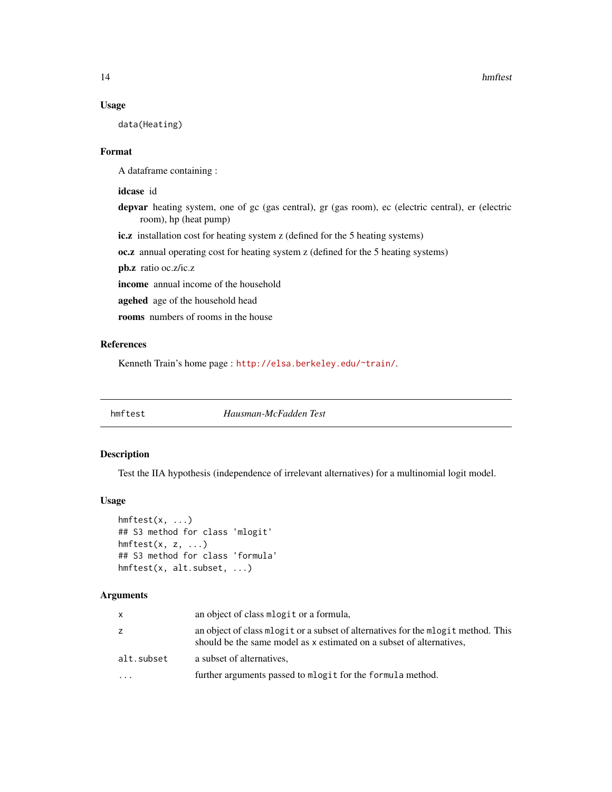#### Usage

data(Heating)

#### Format

A dataframe containing :

#### idcase id

- depvar heating system, one of gc (gas central), gr (gas room), ec (electric central), er (electric room), hp (heat pump)
- ic.z installation cost for heating system z (defined for the 5 heating systems)

oc.z annual operating cost for heating system z (defined for the 5 heating systems)

pb.z ratio oc.z/ic.z

income annual income of the household

agehed age of the household head

rooms numbers of rooms in the house

#### References

Kenneth Train's home page : <http://elsa.berkeley.edu/~train/>.

hmftest *Hausman-McFadden Test*

#### Description

Test the IIA hypothesis (independence of irrelevant alternatives) for a multinomial logit model.

#### Usage

```
hmftest(x, ...)
## S3 method for class 'mlogit'
hmftest(x, z, ...)
## S3 method for class 'formula'
hmftest(x, alt.subset, ...)
```
#### Arguments

| x          | an object of class mlogit or a formula,                                                                                                                     |
|------------|-------------------------------------------------------------------------------------------------------------------------------------------------------------|
| z          | an object of class mologit or a subset of alternatives for the mologit method. This<br>should be the same model as x estimated on a subset of alternatives, |
| alt.subset | a subset of alternatives,                                                                                                                                   |
| $\ddotsc$  | further arguments passed to mlogit for the formula method.                                                                                                  |

<span id="page-13-0"></span>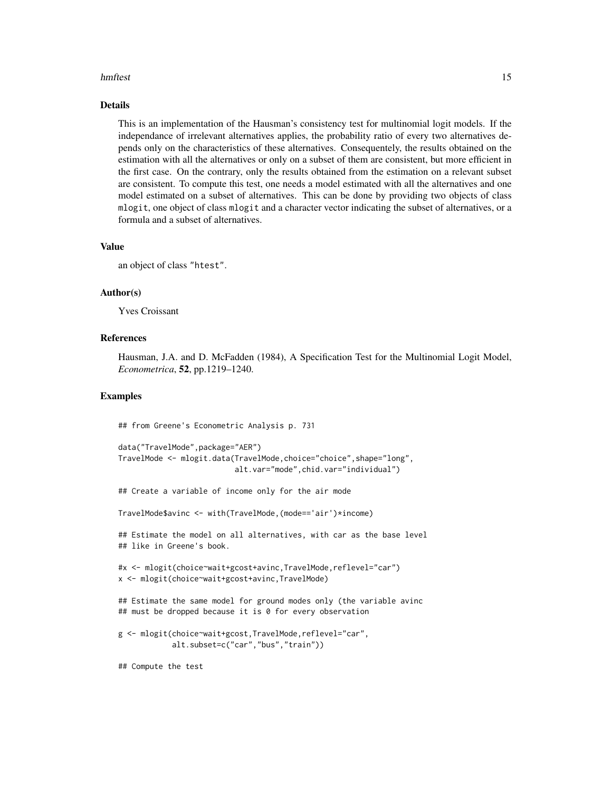#### hmftest 15

#### Details

This is an implementation of the Hausman's consistency test for multinomial logit models. If the independance of irrelevant alternatives applies, the probability ratio of every two alternatives depends only on the characteristics of these alternatives. Consequentely, the results obtained on the estimation with all the alternatives or only on a subset of them are consistent, but more efficient in the first case. On the contrary, only the results obtained from the estimation on a relevant subset are consistent. To compute this test, one needs a model estimated with all the alternatives and one model estimated on a subset of alternatives. This can be done by providing two objects of class mlogit, one object of class mlogit and a character vector indicating the subset of alternatives, or a formula and a subset of alternatives.

#### Value

an object of class "htest".

#### Author(s)

Yves Croissant

#### References

Hausman, J.A. and D. McFadden (1984), A Specification Test for the Multinomial Logit Model, *Econometrica*, 52, pp.1219–1240.

#### Examples

## from Greene's Econometric Analysis p. 731

```
data("TravelMode",package="AER")
TravelMode <- mlogit.data(TravelMode,choice="choice",shape="long",
                          alt.var="mode",chid.var="individual")
```
## Create a variable of income only for the air mode

TravelMode\$avinc <- with(TravelMode,(mode=='air')\*income)

## Estimate the model on all alternatives, with car as the base level ## like in Greene's book.

```
#x <- mlogit(choice~wait+gcost+avinc,TravelMode,reflevel="car")
x <- mlogit(choice~wait+gcost+avinc,TravelMode)
```
## Estimate the same model for ground modes only (the variable avinc ## must be dropped because it is 0 for every observation

```
g <- mlogit(choice~wait+gcost,TravelMode,reflevel="car",
           alt.subset=c("car","bus","train"))
```
## Compute the test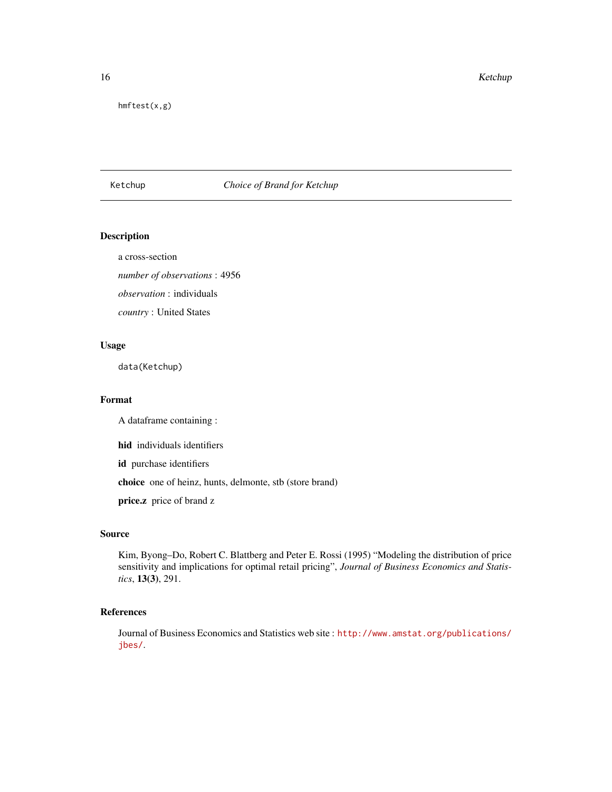<span id="page-15-0"></span>16 Ketchup Ketchup Ketchup Ketchup Ketchup Ketchup Ketchup Ketchup Ketchup Ketchup Ketchup Ketchup Ketchup Ketchup Ketchup Ketchup Ketchup Ketchup Ketchup Ketchup Ketchup Ketchup Ketchup Ketchup Ketchup Ketchup Ketchup Ket

hmftest(x,g)

#### Ketchup *Choice of Brand for Ketchup*

#### Description

a cross-section

*number of observations* : 4956

*observation* : individuals

*country* : United States

#### Usage

data(Ketchup)

#### Format

A dataframe containing :

hid individuals identifiers

id purchase identifiers

choice one of heinz, hunts, delmonte, stb (store brand)

price.z price of brand z

#### Source

Kim, Byong–Do, Robert C. Blattberg and Peter E. Rossi (1995) "Modeling the distribution of price sensitivity and implications for optimal retail pricing", *Journal of Business Economics and Statistics*, 13(3), 291.

#### References

Journal of Business Economics and Statistics web site : [http://www.amstat.org/publications/](http://www.amstat.org/publications/jbes/) [jbes/](http://www.amstat.org/publications/jbes/).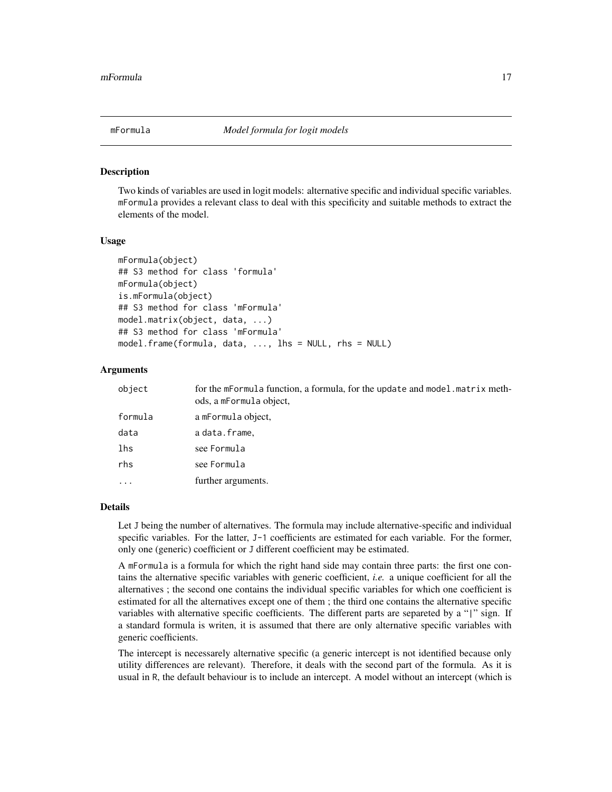<span id="page-16-1"></span><span id="page-16-0"></span>Two kinds of variables are used in logit models: alternative specific and individual specific variables. mFormula provides a relevant class to deal with this specificity and suitable methods to extract the elements of the model.

#### Usage

```
mFormula(object)
## S3 method for class 'formula'
mFormula(object)
is.mFormula(object)
## S3 method for class 'mFormula'
model.matrix(object, data, ...)
## S3 method for class 'mFormula'
model.frame(formula, data, ..., lhs = NULL, rhs = NULL)
```
#### Arguments

| object   | for the mFormula function, a formula, for the update and model. matrix meth-<br>ods, a mFormula object, |
|----------|---------------------------------------------------------------------------------------------------------|
| formula  | a mFormula object,                                                                                      |
| data     | adata.frame,                                                                                            |
| lhs      | see Formula                                                                                             |
| rhs      | see Formula                                                                                             |
| $\cdots$ | further arguments.                                                                                      |
|          |                                                                                                         |

#### Details

Let J being the number of alternatives. The formula may include alternative-specific and individual specific variables. For the latter, J-1 coefficients are estimated for each variable. For the former, only one (generic) coefficient or J different coefficient may be estimated.

A mFormula is a formula for which the right hand side may contain three parts: the first one contains the alternative specific variables with generic coefficient, *i.e.* a unique coefficient for all the alternatives ; the second one contains the individual specific variables for which one coefficient is estimated for all the alternatives except one of them ; the third one contains the alternative specific variables with alternative specific coefficients. The different parts are separeted by a "|" sign. If a standard formula is writen, it is assumed that there are only alternative specific variables with generic coefficients.

The intercept is necessarely alternative specific (a generic intercept is not identified because only utility differences are relevant). Therefore, it deals with the second part of the formula. As it is usual in R, the default behaviour is to include an intercept. A model without an intercept (which is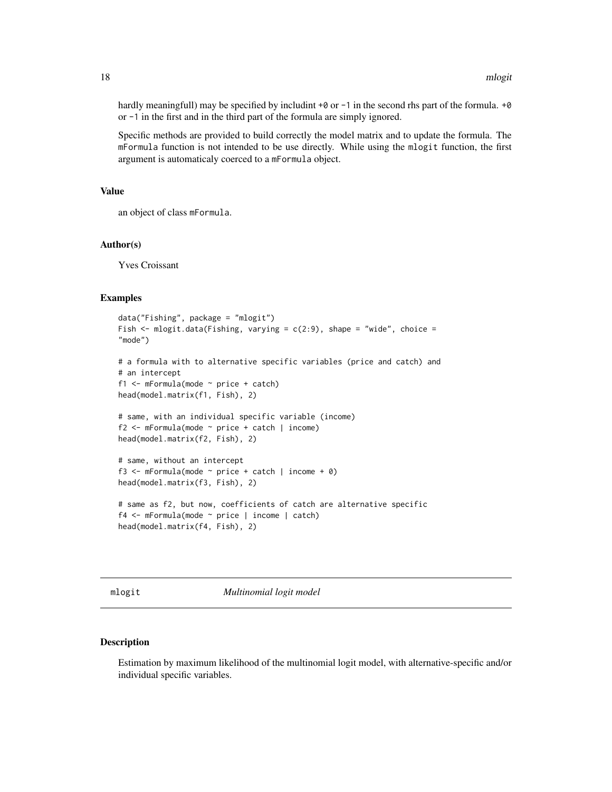<span id="page-17-0"></span>hardly meaningfull) may be specified by includint  $+0$  or  $-1$  in the second rhs part of the formula.  $+0$ or -1 in the first and in the third part of the formula are simply ignored.

Specific methods are provided to build correctly the model matrix and to update the formula. The mFormula function is not intended to be use directly. While using the mlogit function, the first argument is automaticaly coerced to a mFormula object.

#### Value

an object of class mFormula.

#### Author(s)

Yves Croissant

#### Examples

```
data("Fishing", package = "mlogit")
Fish \le mlogit.data(Fishing, varying = c(2:9), shape = "wide", choice =
"mode")
# a formula with to alternative specific variables (price and catch) and
# an intercept
f1 <- mFormula(mode ~ price + catch)
head(model.matrix(f1, Fish), 2)
# same, with an individual specific variable (income)
f2 <- mFormula(mode ~ price + catch | income)
head(model.matrix(f2, Fish), 2)
# same, without an intercept
f3 <- mFormula(mode \sim price + catch | income + 0)
head(model.matrix(f3, Fish), 2)
# same as f2, but now, coefficients of catch are alternative specific
f4 <- mFormula(mode ~ price | income | catch)
head(model.matrix(f4, Fish), 2)
```
<span id="page-17-1"></span>mlogit *Multinomial logit model*

#### Description

Estimation by maximum likelihood of the multinomial logit model, with alternative-specific and/or individual specific variables.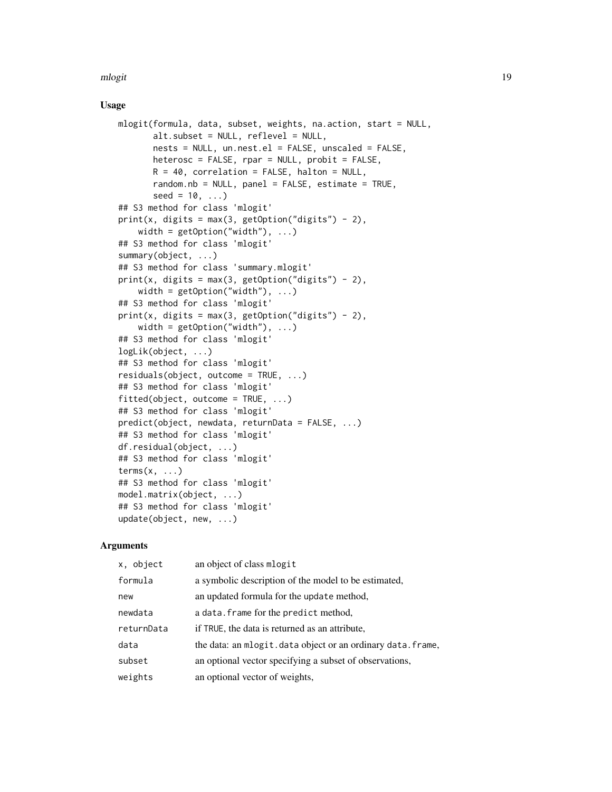mlogit the contract of the contract of the contract of the contract of the contract of the contract of the contract of the contract of the contract of the contract of the contract of the contract of the contract of the con

#### Usage

```
mlogit(formula, data, subset, weights, na.action, start = NULL,
      alt.subset = NULL, reflevel = NULL,nests = NULL, un.nest.el = FALSE, unscaled = FALSE,
      heterosc = FALSE, rpar = NULL, probit = FALSE,
      R = 40, correlation = FALSE, halton = NULL,
       random.nb = NULL, panel = FALSE, estimate = TRUE,
       seed = 10, ...## S3 method for class 'mlogit'
print(x, digits = max(3, getOption("digits") - 2),width = getOption("width"), ...)## S3 method for class 'mlogit'
summary(object, ...)
## S3 method for class 'summary.mlogit'
print(x, \text{ digits} = max(3, \text{ getOption("digits")} - 2),width = getOption("width"), ...)## S3 method for class 'mlogit'
print(x, digits = max(3, getOption("digits") - 2),width = getOption("width"), ...)## S3 method for class 'mlogit'
logLik(object, ...)
## S3 method for class 'mlogit'
residuals(object, outcome = TRUE, ...)
## S3 method for class 'mlogit'
fitted(object, outcome = TRUE, ...)## S3 method for class 'mlogit'
predict(object, newdata, returnData = FALSE, ...)
## S3 method for class 'mlogit'
df.residual(object, ...)
## S3 method for class 'mlogit'
terms(x, \ldots)## S3 method for class 'mlogit'
model.matrix(object, ...)
## S3 method for class 'mlogit'
update(object, new, ...)
```
#### Arguments

| x, object  | an object of class mlogit                                  |
|------------|------------------------------------------------------------|
| formula    | a symbolic description of the model to be estimated,       |
| new        | an updated formula for the update method,                  |
| newdata    | a data. frame for the predict method,                      |
| returnData | if TRUE, the data is returned as an attribute.             |
| data       | the data: an mlogit.data object or an ordinary data.frame, |
| subset     | an optional vector specifying a subset of observations,    |
| weights    | an optional vector of weights,                             |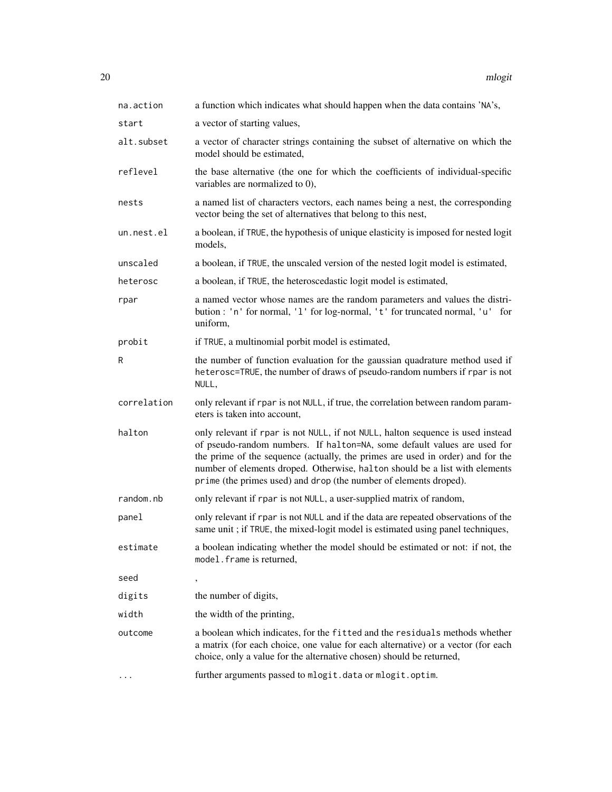| na.action   | a function which indicates what should happen when the data contains 'NA's,                                                                                                                                                                                                                                                                                                                       |
|-------------|---------------------------------------------------------------------------------------------------------------------------------------------------------------------------------------------------------------------------------------------------------------------------------------------------------------------------------------------------------------------------------------------------|
| start       | a vector of starting values,                                                                                                                                                                                                                                                                                                                                                                      |
| alt.subset  | a vector of character strings containing the subset of alternative on which the<br>model should be estimated,                                                                                                                                                                                                                                                                                     |
| reflevel    | the base alternative (the one for which the coefficients of individual-specific<br>variables are normalized to $0$ ),                                                                                                                                                                                                                                                                             |
| nests       | a named list of characters vectors, each names being a nest, the corresponding<br>vector being the set of alternatives that belong to this nest,                                                                                                                                                                                                                                                  |
| un.nest.el  | a boolean, if TRUE, the hypothesis of unique elasticity is imposed for nested logit<br>models,                                                                                                                                                                                                                                                                                                    |
| unscaled    | a boolean, if TRUE, the unscaled version of the nested logit model is estimated,                                                                                                                                                                                                                                                                                                                  |
| heterosc    | a boolean, if TRUE, the heteroscedastic logit model is estimated,                                                                                                                                                                                                                                                                                                                                 |
| rpar        | a named vector whose names are the random parameters and values the distri-<br>bution : 'n' for normal, '1' for log-normal, 't' for truncated normal, 'u' for<br>uniform,                                                                                                                                                                                                                         |
| probit      | if TRUE, a multinomial porbit model is estimated,                                                                                                                                                                                                                                                                                                                                                 |
| R           | the number of function evaluation for the gaussian quadrature method used if<br>heterosc=TRUE, the number of draws of pseudo-random numbers if rpar is not<br>NULL,                                                                                                                                                                                                                               |
| correlation | only relevant if rpar is not NULL, if true, the correlation between random param-<br>eters is taken into account,                                                                                                                                                                                                                                                                                 |
| halton      | only relevant if rpar is not NULL, if not NULL, halton sequence is used instead<br>of pseudo-random numbers. If halton=NA, some default values are used for<br>the prime of the sequence (actually, the primes are used in order) and for the<br>number of elements droped. Otherwise, halton should be a list with elements<br>prime (the primes used) and drop (the number of elements droped). |
| random.nb   | only relevant if rpar is not NULL, a user-supplied matrix of random,                                                                                                                                                                                                                                                                                                                              |
| panel       | only relevant if rpar is not NULL and if the data are repeated observations of the<br>same unit; if TRUE, the mixed-logit model is estimated using panel techniques,                                                                                                                                                                                                                              |
| estimate    | a boolean indicating whether the model should be estimated or not: if not, the<br>model. frame is returned,                                                                                                                                                                                                                                                                                       |
| seed        |                                                                                                                                                                                                                                                                                                                                                                                                   |
| digits      | the number of digits,                                                                                                                                                                                                                                                                                                                                                                             |
| width       | the width of the printing,                                                                                                                                                                                                                                                                                                                                                                        |
| outcome     | a boolean which indicates, for the fitted and the residuals methods whether<br>a matrix (for each choice, one value for each alternative) or a vector (for each                                                                                                                                                                                                                                   |
|             | choice, only a value for the alternative chosen) should be returned,                                                                                                                                                                                                                                                                                                                              |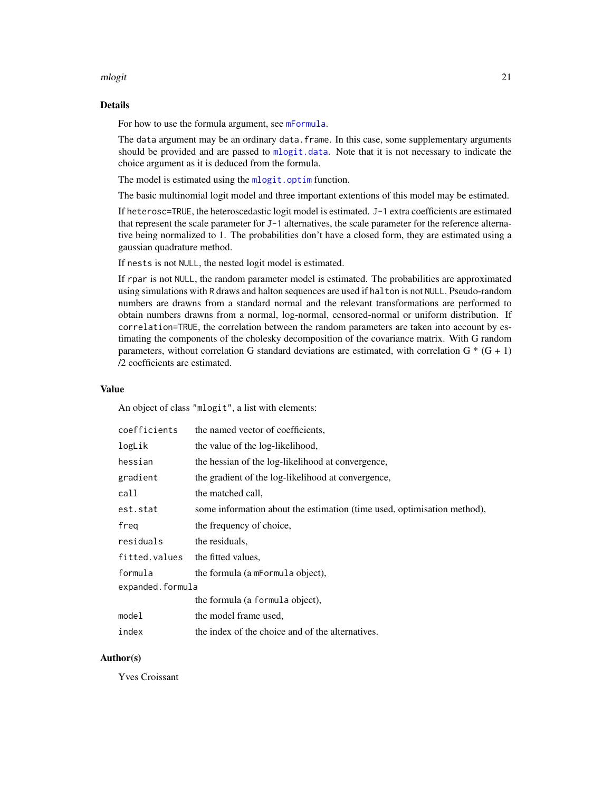#### <span id="page-20-0"></span>mlogit 21

#### Details

For how to use the formula argument, see [mFormula](#page-16-1).

The data argument may be an ordinary data.frame. In this case, some supplementary arguments should be provided and are passed to [mlogit.data](#page-23-1). Note that it is not necessary to indicate the choice argument as it is deduced from the formula.

The model is estimated using the [mlogit.optim](#page-25-1) function.

The basic multinomial logit model and three important extentions of this model may be estimated.

If heterosc=TRUE, the heteroscedastic logit model is estimated. J-1 extra coefficients are estimated that represent the scale parameter for J-1 alternatives, the scale parameter for the reference alternative being normalized to 1. The probabilities don't have a closed form, they are estimated using a gaussian quadrature method.

If nests is not NULL, the nested logit model is estimated.

If rpar is not NULL, the random parameter model is estimated. The probabilities are approximated using simulations with R draws and halton sequences are used if halton is not NULL. Pseudo-random numbers are drawns from a standard normal and the relevant transformations are performed to obtain numbers drawns from a normal, log-normal, censored-normal or uniform distribution. If correlation=TRUE, the correlation between the random parameters are taken into account by estimating the components of the cholesky decomposition of the covariance matrix. With G random parameters, without correlation G standard deviations are estimated, with correlation G  $*$  (G + 1) /2 coefficients are estimated.

#### Value

An object of class "mlogit", a list with elements:

| coefficients     | the named vector of coefficients,                                       |  |
|------------------|-------------------------------------------------------------------------|--|
| logLik           | the value of the log-likelihood,                                        |  |
| hessian          | the hessian of the log-likelihood at convergence,                       |  |
| gradient         | the gradient of the log-likelihood at convergence,                      |  |
| call             | the matched call,                                                       |  |
| est.stat         | some information about the estimation (time used, optimisation method), |  |
| freg             | the frequency of choice,                                                |  |
| residuals        | the residuals.                                                          |  |
| fitted.values    | the fitted values.                                                      |  |
| formula          | the formula (a mFormula object),                                        |  |
| expanded.formula |                                                                         |  |
|                  | the formula (a formula object),                                         |  |
| model            | the model frame used,                                                   |  |
| index            | the index of the choice and of the alternatives.                        |  |

#### Author(s)

Yves Croissant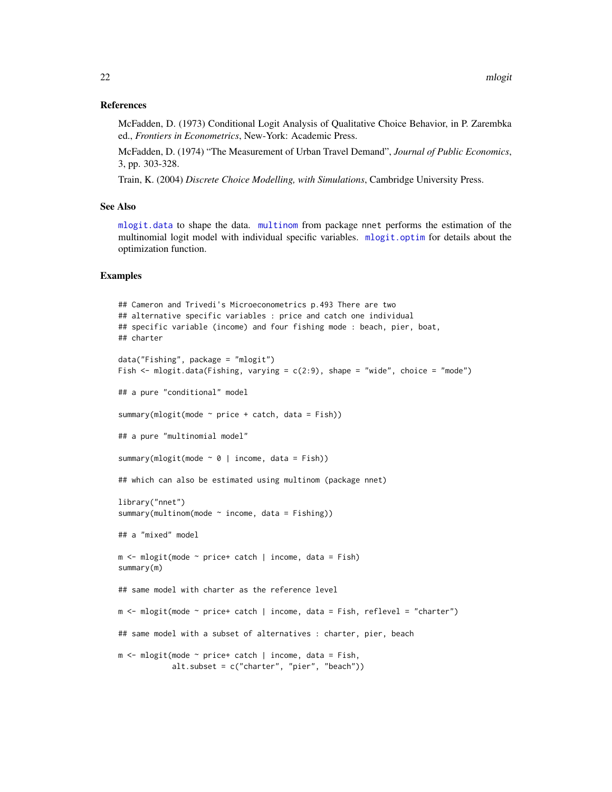#### <span id="page-21-0"></span>References

McFadden, D. (1973) Conditional Logit Analysis of Qualitative Choice Behavior, in P. Zarembka ed., *Frontiers in Econometrics*, New-York: Academic Press.

McFadden, D. (1974) "The Measurement of Urban Travel Demand", *Journal of Public Economics*, 3, pp. 303-328.

Train, K. (2004) *Discrete Choice Modelling, with Simulations*, Cambridge University Press.

#### See Also

[mlogit.data](#page-23-1) to shape the data. [multinom](#page-0-0) from package nnet performs the estimation of the multinomial logit model with individual specific variables. [mlogit.optim](#page-25-1) for details about the optimization function.

#### Examples

```
## Cameron and Trivedi's Microeconometrics p.493 There are two
## alternative specific variables : price and catch one individual
## specific variable (income) and four fishing mode : beach, pier, boat,
## charter
data("Fishing", package = "mlogit")
Fish \le mlogit.data(Fishing, varying = c(2:9), shape = "wide", choice = "mode")
## a pure "conditional" model
summary(mlogit(mode \sim price + catch, data = Fish))
## a pure "multinomial model"
summary(mlogit(mode \sim \theta | income, data = Fish))
## which can also be estimated using multinom (package nnet)
library("nnet")
summary(multinom(mode \sim income, data = Fishing))
## a "mixed" model
m <- mlogit(mode ~ price+ catch | income, data = Fish)
summary(m)
## same model with charter as the reference level
m <- mlogit(mode ~ price+ catch | income, data = Fish, reflevel = "charter")
## same model with a subset of alternatives : charter, pier, beach
m <- mlogit(mode \sim price+ catch | income, data = Fish,
            alt.subset = c("charter", "pier", "beach"))
```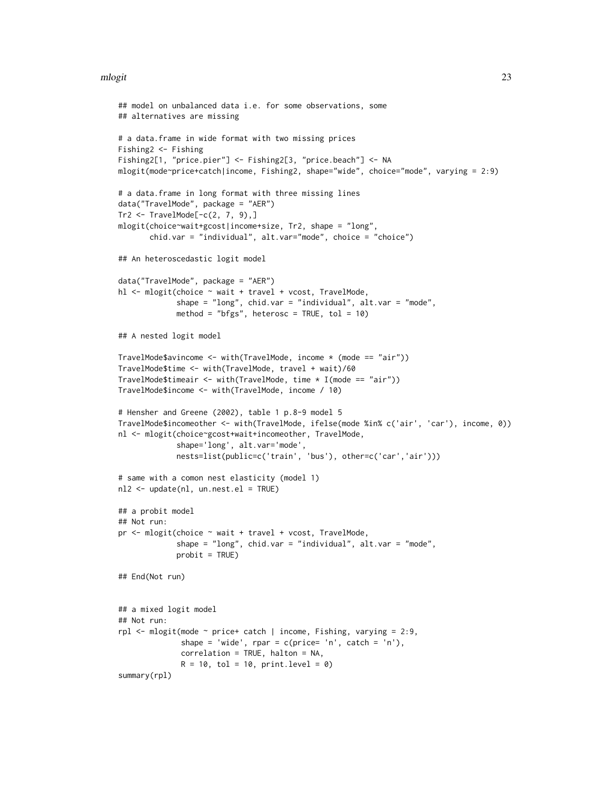#### mlogit 23

```
## model on unbalanced data i.e. for some observations, some
## alternatives are missing
# a data.frame in wide format with two missing prices
Fishing2 <- Fishing
Fishing2[1, "price.pier"] <- Fishing2[3, "price.beach"] <- NA
mlogit(mode~price+catch|income, Fishing2, shape="wide", choice="mode", varying = 2:9)
# a data.frame in long format with three missing lines
data("TravelMode", package = "AER")
Tr2 < - TravelMode[-c(2, 7, 9),]mlogit(choice~wait+gcost|income+size, Tr2, shape = "long",
       chid.var = "individual", alt.var="mode", choice = "choice")
## An heteroscedastic logit model
data("TravelMode", package = "AER")
hl <- mlogit(choice ~ wait + travel + vcost, TravelMode,
             shape = "long", chid.var = "individual", alt.var = "mode",
             method = "bfgs", heterosc = TRUE, tol = 10)
## A nested logit model
TravelMode$avincome <- with(TravelMode, income * (mode == "air"))
TravelMode$time <- with(TravelMode, travel + wait)/60
TravelMode$timeair <- with(TravelMode, time * I(mode == "air"))
TravelMode$income <- with(TravelMode, income / 10)
# Hensher and Greene (2002), table 1 p.8-9 model 5
TravelMode$incomeother <- with(TravelMode, ifelse(mode %in% c('air', 'car'), income, 0))
nl <- mlogit(choice~gcost+wait+incomeother, TravelMode,
             shape='long', alt.var='mode',
             nests=list(public=c('train', 'bus'), other=c('car','air')))
# same with a comon nest elasticity (model 1)
nl2 <- update(nl, un.nest.el = TRUE)
## a probit model
## Not run:
pr <- mlogit(choice ~ wait + travel + vcost, TravelMode,
             shape = "long", chid.var = "individual", alt.var = "mode",
             probit = TRUE)
## End(Not run)
## a mixed logit model
## Not run:
rpl <- mlogit(mode ~ price+ catch | income, Fishing, varying = 2:9,
              shape = 'wide', rpar = c(price='n', catch = 'n'),correlation = TRUE, halton = NA,
              R = 10, tol = 10, print.level = 0)
summary(rpl)
```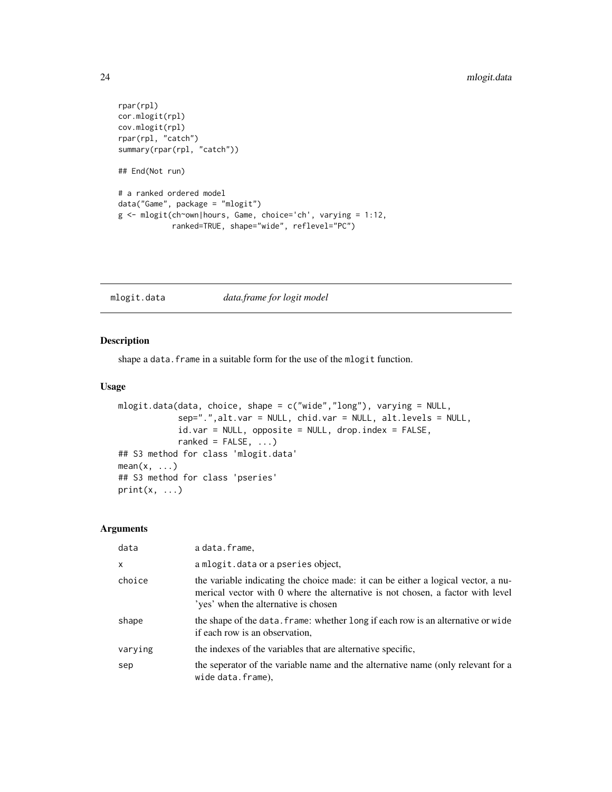```
rpar(rpl)
cor.mlogit(rpl)
cov.mlogit(rpl)
rpar(rpl, "catch")
summary(rpar(rpl, "catch"))
## End(Not run)
# a ranked ordered model
data("Game", package = "mlogit")
g <- mlogit(ch~own|hours, Game, choice='ch', varying = 1:12,
            ranked=TRUE, shape="wide", reflevel="PC")
```
<span id="page-23-1"></span>mlogit.data *data.frame for logit model*

#### Description

shape a data. frame in a suitable form for the use of the mlogit function.

#### Usage

```
mlogit.data(data, choice, shape = c("wide","long"), varying = NULL,
            sep=".",alt.var = NULL, chid.var = NULL, alt.levels = NULL,
            id-var = NULL, opposite = NULL, drop.index = FALSE,
            ranked = FALSE, ...)
## S3 method for class 'mlogit.data'
mean(x, \ldots)## S3 method for class 'pseries'
print(x, \ldots)
```
#### Arguments

| data    | a data.frame.                                                                                                                                                                                               |
|---------|-------------------------------------------------------------------------------------------------------------------------------------------------------------------------------------------------------------|
| X       | a mlogit.data or a pseries object,                                                                                                                                                                          |
| choice  | the variable indicating the choice made: it can be either a logical vector, a nu-<br>merical vector with 0 where the alternative is not chosen, a factor with level<br>'yes' when the alternative is chosen |
| shape   | the shape of the data. frame: whether long if each row is an alternative or wide<br>if each row is an observation,                                                                                          |
| varying | the indexes of the variables that are alternative specific,                                                                                                                                                 |
| sep     | the seperator of the variable name and the alternative name (only relevant for a<br>wide data.frame).                                                                                                       |

<span id="page-23-0"></span>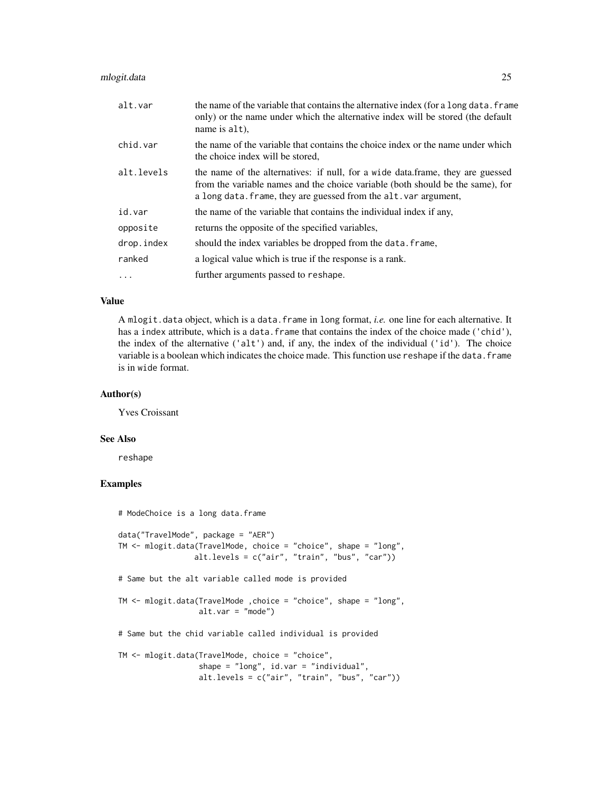#### mlogit.data 25

| alt.var    | the name of the variable that contains the alternative index (for a long data. frame<br>only) or the name under which the alternative index will be stored (the default<br>name is alt),                                             |
|------------|--------------------------------------------------------------------------------------------------------------------------------------------------------------------------------------------------------------------------------------|
| chid.var   | the name of the variable that contains the choice index or the name under which<br>the choice index will be stored,                                                                                                                  |
| alt.levels | the name of the alternatives: if null, for a wide data.frame, they are guessed<br>from the variable names and the choice variable (both should be the same), for<br>a long data. frame, they are guessed from the alt. var argument, |
| id.var     | the name of the variable that contains the individual index if any,                                                                                                                                                                  |
| opposite   | returns the opposite of the specified variables,                                                                                                                                                                                     |
| drop.index | should the index variables be dropped from the data. frame,                                                                                                                                                                          |
| ranked     | a logical value which is true if the response is a rank.                                                                                                                                                                             |
| $\cdots$   | further arguments passed to reshape.                                                                                                                                                                                                 |

#### Value

A mlogit.data object, which is a data.frame in long format, *i.e.* one line for each alternative. It has a index attribute, which is a data. frame that contains the index of the choice made ('chid'), the index of the alternative ('alt') and, if any, the index of the individual ('id'). The choice variable is a boolean which indicates the choice made. This function use reshape if the data.frame is in wide format.

#### Author(s)

Yves Croissant

#### See Also

reshape

#### Examples

```
# ModeChoice is a long data.frame
data("TravelMode", package = "AER")
TM <- mlogit.data(TravelMode, choice = "choice", shape = "long",
                 alt.levels = c("air", "train", "bus", "car"))
# Same but the alt variable called mode is provided
TM <- mlogit.data(TravelMode ,choice = "choice", shape = "long",
                  alt.var = "mode")# Same but the chid variable called individual is provided
TM <- mlogit.data(TravelMode, choice = "choice",
                  shape = "long", id.var = "individual",
                  alt.levels = c("air", "train", "bus", "car"))
```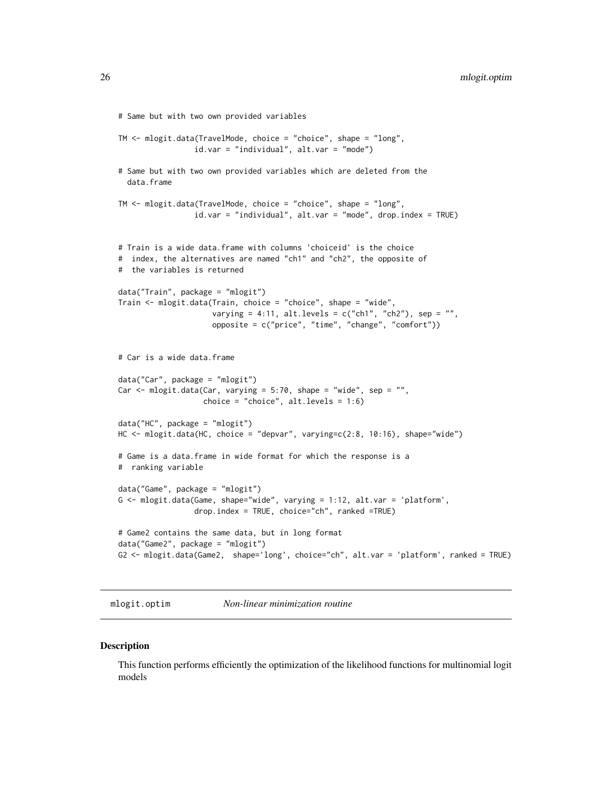```
# Same but with two own provided variables
TM <- mlogit.data(TravelMode, choice = "choice", shape = "long",
                 id.var = "individual", alt.var = "mode")
# Same but with two own provided variables which are deleted from the
  data.frame
TM <- mlogit.data(TravelMode, choice = "choice", shape = "long",
                 id.var = "individual", alt.var = "mode", drop.index = TRUE)
# Train is a wide data.frame with columns 'choiceid' is the choice
# index, the alternatives are named "ch1" and "ch2", the opposite of
# the variables is returned
data("Train", package = "mlogit")
Train <- mlogit.data(Train, choice = "choice", shape = "wide",
                     varying = 4:11, alt.levels = c("ch1", "ch2"), sep = "",opposite = c("price", "time", "change", "comfort"))
# Car is a wide data.frame
data("Car", package = "mlogit")
Car \leq mlogit.data(Car, varying = 5:70, shape = "wide", sep = "",
                   choice = "choice", alt.levels = 1:6)
data("HC", package = "mlogit")
HC <- mlogit.data(HC, choice = "depvar", varying=c(2:8, 10:16), shape="wide")
# Game is a data.frame in wide format for which the response is a
# ranking variable
data("Game", package = "mlogit")
G <- mlogit.data(Game, shape="wide", varying = 1:12, alt.var = 'platform',
                 drop.index = TRUE, choice="ch", ranked =TRUE)
# Game2 contains the same data, but in long format
data("Game2", package = "mlogit")
G2 <- mlogit.data(Game2, shape='long', choice="ch", alt.var = 'platform', ranked = TRUE)
```
<span id="page-25-1"></span>mlogit.optim *Non-linear minimization routine*

**Description** 

This function performs efficiently the optimization of the likelihood functions for multinomial logit models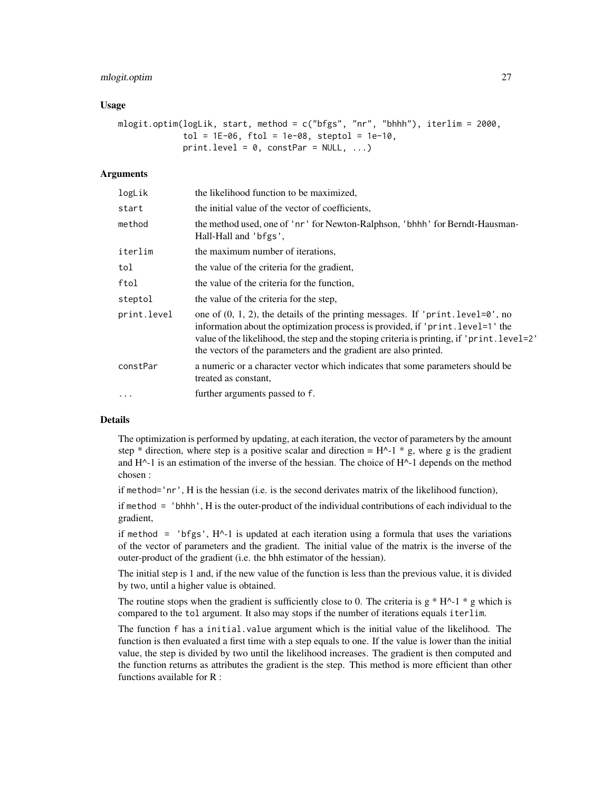#### mlogit.optim 27

#### Usage

```
mlogit.optim(logLik, start, method = c("bfgs", "nr", "bhhh"), iterlim = 2000,tol = 1E-06, ftol = 1e-08, steptol = 1e-10,
             print.level = 0, constPar = NULL, ...)
```
#### Arguments

| logLik      | the likelihood function to be maximized,                                                                                                                                                                                                                                                                                                          |
|-------------|---------------------------------------------------------------------------------------------------------------------------------------------------------------------------------------------------------------------------------------------------------------------------------------------------------------------------------------------------|
| start       | the initial value of the vector of coefficients,                                                                                                                                                                                                                                                                                                  |
| method      | the method used, one of 'nr' for Newton-Ralphson, 'bhhh' for Berndt-Hausman-<br>Hall-Hall and 'bfgs',                                                                                                                                                                                                                                             |
| iterlim     | the maximum number of iterations,                                                                                                                                                                                                                                                                                                                 |
| tol         | the value of the criteria for the gradient,                                                                                                                                                                                                                                                                                                       |
| ftol        | the value of the criteria for the function,                                                                                                                                                                                                                                                                                                       |
| steptol     | the value of the criteria for the step,                                                                                                                                                                                                                                                                                                           |
| print.level | one of $(0, 1, 2)$ , the details of the printing messages. If 'print. level= $\theta$ ', no<br>information about the optimization process is provided, if 'print. level=1' the<br>value of the likelihood, the step and the stoping criteria is printing, if 'print. level=2'<br>the vectors of the parameters and the gradient are also printed. |
| constPar    | a numeric or a character vector which indicates that some parameters should be<br>treated as constant,                                                                                                                                                                                                                                            |
| $\cdots$    | further arguments passed to f.                                                                                                                                                                                                                                                                                                                    |

#### Details

The optimization is performed by updating, at each iteration, the vector of parameters by the amount step \* direction, where step is a positive scalar and direction =  $H^{\wedge}$ -1 \* g, where g is the gradient and  $H^{\wedge}$ -1 is an estimation of the inverse of the hessian. The choice of  $H^{\wedge}$ -1 depends on the method chosen :

if method='nr', H is the hessian (i.e. is the second derivates matrix of the likelihood function),

if method = 'bhhh', H is the outer-product of the individual contributions of each individual to the gradient,

if method  $=$  'bfgs',  $H^{\wedge}-1$  is updated at each iteration using a formula that uses the variations of the vector of parameters and the gradient. The initial value of the matrix is the inverse of the outer-product of the gradient (i.e. the bhh estimator of the hessian).

The initial step is 1 and, if the new value of the function is less than the previous value, it is divided by two, until a higher value is obtained.

The routine stops when the gradient is sufficiently close to 0. The criteria is  $g * H^{\wedge}$ -1  $* g$  which is compared to the tol argument. It also may stops if the number of iterations equals iterlim.

The function f has a initial.value argument which is the initial value of the likelihood. The function is then evaluated a first time with a step equals to one. If the value is lower than the initial value, the step is divided by two until the likelihood increases. The gradient is then computed and the function returns as attributes the gradient is the step. This method is more efficient than other functions available for R :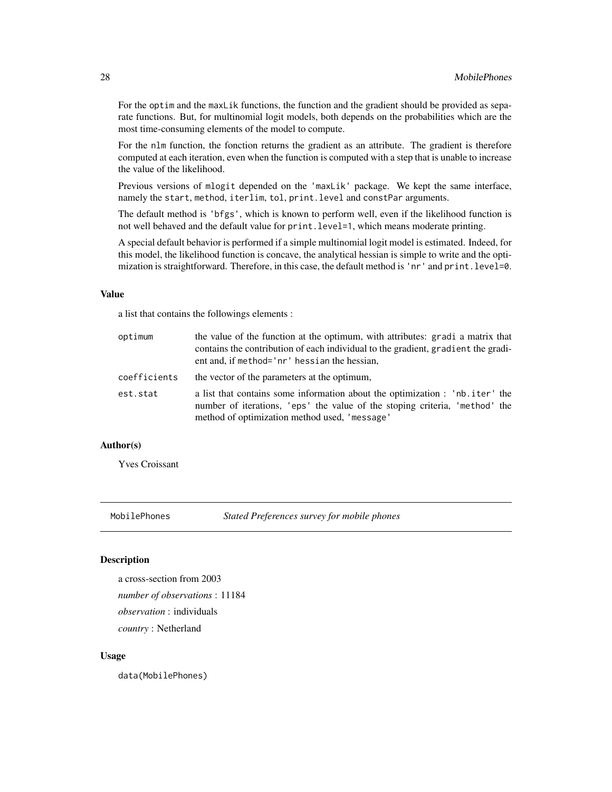<span id="page-27-0"></span>For the optim and the maxLik functions, the function and the gradient should be provided as separate functions. But, for multinomial logit models, both depends on the probabilities which are the most time-consuming elements of the model to compute.

For the nlm function, the fonction returns the gradient as an attribute. The gradient is therefore computed at each iteration, even when the function is computed with a step that is unable to increase the value of the likelihood.

Previous versions of mlogit depended on the 'maxLik' package. We kept the same interface, namely the start, method, iterlim, tol, print.level and constPar arguments.

The default method is 'bfgs', which is known to perform well, even if the likelihood function is not well behaved and the default value for print.level=1, which means moderate printing.

A special default behavior is performed if a simple multinomial logit model is estimated. Indeed, for this model, the likelihood function is concave, the analytical hessian is simple to write and the optimization is straightforward. Therefore, in this case, the default method is 'nr' and print.level=0.

#### Value

a list that contains the followings elements :

| optimum      | the value of the function at the optimum, with attributes: gradi a matrix that<br>contains the contribution of each individual to the gradient, gradient the gradi-<br>ent and, if method='nr' hessian the hessian, |
|--------------|---------------------------------------------------------------------------------------------------------------------------------------------------------------------------------------------------------------------|
| coefficients | the vector of the parameters at the optimum,                                                                                                                                                                        |
| est.stat     | a list that contains some information about the optimization : 'nb.iter' the<br>number of iterations, 'eps' the value of the stoping criteria, 'method' the<br>method of optimization method used, 'message'        |

#### Author(s)

Yves Croissant

MobilePhones *Stated Preferences survey for mobile phones*

#### Description

a cross-section from 2003 *number of observations* : 11184 *observation* : individuals *country* : Netherland

#### Usage

data(MobilePhones)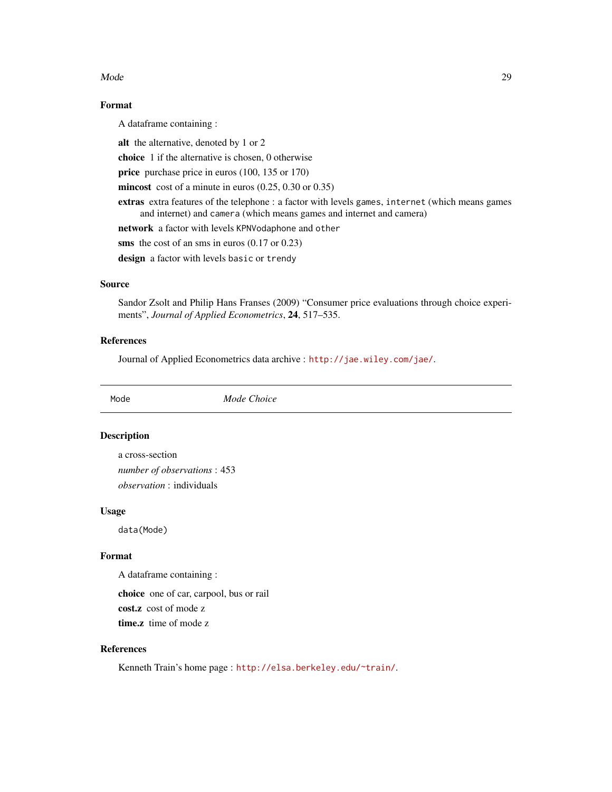#### <span id="page-28-0"></span>Mode 29

#### Format

A dataframe containing :

alt the alternative, denoted by 1 or 2

choice 1 if the alternative is chosen, 0 otherwise

price purchase price in euros (100, 135 or 170)

mincost cost of a minute in euros (0.25, 0.30 or 0.35)

extras extra features of the telephone : a factor with levels games, internet (which means games and internet) and camera (which means games and internet and camera)

network a factor with levels KPNVodaphone and other

sms the cost of an sms in euros (0.17 or 0.23)

design a factor with levels basic or trendy

#### Source

Sandor Zsolt and Philip Hans Franses (2009) "Consumer price evaluations through choice experiments", *Journal of Applied Econometrics*, 24, 517–535.

#### References

Journal of Applied Econometrics data archive : <http://jae.wiley.com/jae/>.

Mode *Mode Choice*

#### Description

a cross-section *number of observations* : 453 *observation* : individuals

#### Usage

data(Mode)

#### Format

A dataframe containing :

choice one of car, carpool, bus or rail cost.z cost of mode z time.z time of mode z

#### References

Kenneth Train's home page : <http://elsa.berkeley.edu/~train/>.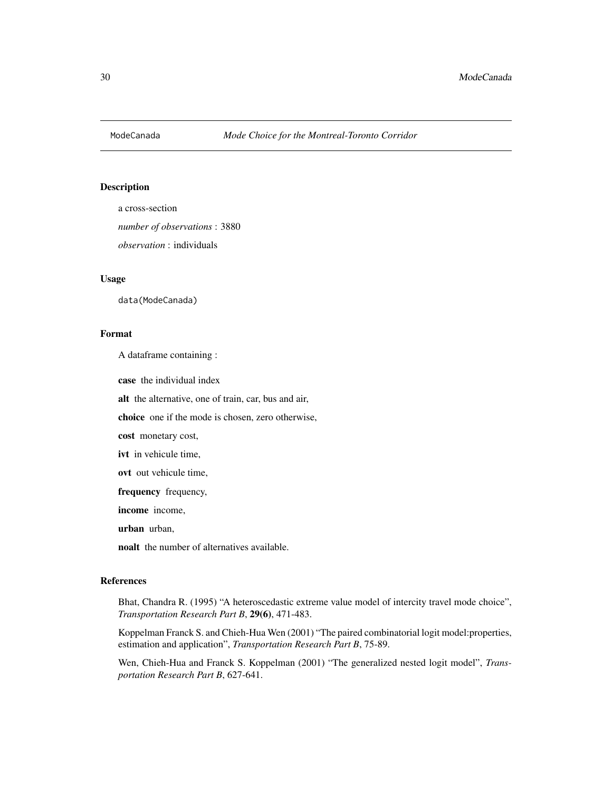<span id="page-29-0"></span>

a cross-section *number of observations* : 3880 *observation* : individuals

#### Usage

data(ModeCanada)

#### Format

A dataframe containing :

case the individual index

alt the alternative, one of train, car, bus and air,

choice one if the mode is chosen, zero otherwise,

cost monetary cost,

ivt in vehicule time,

ovt out vehicule time,

frequency frequency,

income income,

urban urban,

noalt the number of alternatives available.

#### References

Bhat, Chandra R. (1995) "A heteroscedastic extreme value model of intercity travel mode choice", *Transportation Research Part B*, 29(6), 471-483.

Koppelman Franck S. and Chieh-Hua Wen (2001) "The paired combinatorial logit model:properties, estimation and application", *Transportation Research Part B*, 75-89.

Wen, Chieh-Hua and Franck S. Koppelman (2001) "The generalized nested logit model", *Transportation Research Part B*, 627-641.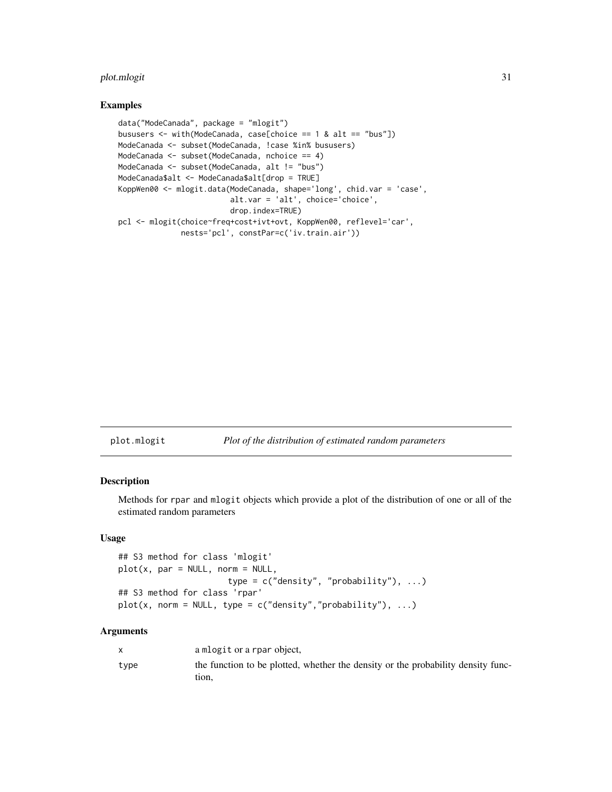#### <span id="page-30-0"></span>plot.mlogit 31

#### Examples

```
data("ModeCanada", package = "mlogit")
bususers <- with(ModeCanada, case[choice == 1 & alt == "bus"])
ModeCanada <- subset(ModeCanada, !case %in% bususers)
ModeCanada <- subset(ModeCanada, nchoice == 4)
ModeCanada <- subset(ModeCanada, alt != "bus")
ModeCanada$alt <- ModeCanada$alt[drop = TRUE]
KoppWen00 <- mlogit.data(ModeCanada, shape='long', chid.var = 'case',
                         alt.var = 'alt', choice='choice',
                         drop.index=TRUE)
pcl <- mlogit(choice~freq+cost+ivt+ovt, KoppWen00, reflevel='car',
              nests='pcl', constPar=c('iv.train.air'))
```
#### plot.mlogit *Plot of the distribution of estimated random parameters*

#### Description

Methods for rpar and mlogit objects which provide a plot of the distribution of one or all of the estimated random parameters

#### Usage

```
## S3 method for class 'mlogit'
plot(x, par = NULL, norm = NULL,type = c("density", "probability"), ...)
## S3 method for class 'rpar'
plot(x, norm = NULL, type = c("density", "probability"), ...)
```
#### Arguments

|      | a mlogit or a rpar object,                                                                |
|------|-------------------------------------------------------------------------------------------|
| type | the function to be plotted, whether the density or the probability density func-<br>tion. |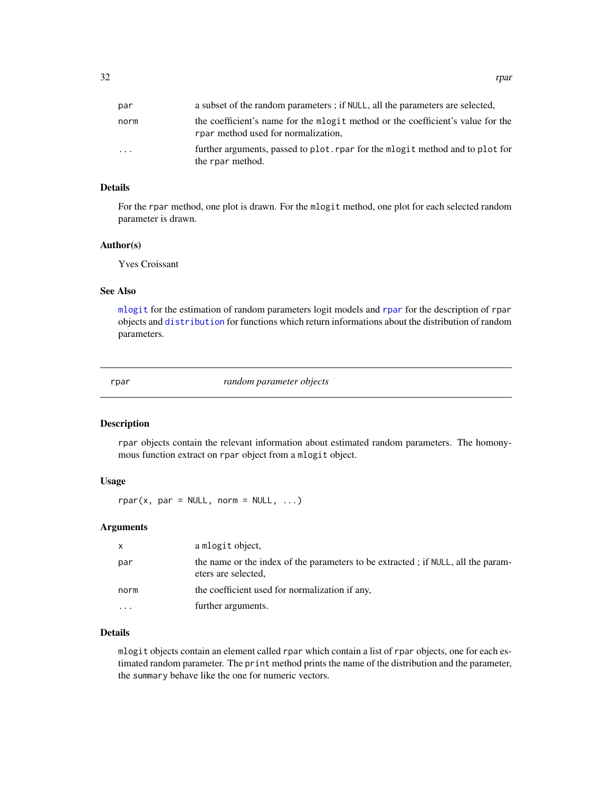<span id="page-31-0"></span>

| par  | a subset of the random parameters ; if NULL, all the parameters are selected,                                          |
|------|------------------------------------------------------------------------------------------------------------------------|
| norm | the coefficient's name for the mlogit method or the coefficient's value for the<br>rpar method used for normalization, |
| .    | further arguments, passed to plot. rpar for the mlog it method and to plot for<br>the rpar method.                     |

#### Details

For the rpar method, one plot is drawn. For the mlogit method, one plot for each selected random parameter is drawn.

#### Author(s)

Yves Croissant

#### See Also

[mlogit](#page-17-1) for the estimation of random parameters logit models and [rpar](#page-31-1) for the description of rpar objects and [distribution](#page-6-1) for functions which return informations about the distribution of random parameters.

<span id="page-31-1"></span>rpar *random parameter objects*

#### Description

rpar objects contain the relevant information about estimated random parameters. The homonymous function extract on rpar object from a mlogit object.

#### Usage

 $rpar(x, par = NULL, norm = NULL, ...)$ 

#### Arguments

| X        | a mlogit object,                                                                                        |
|----------|---------------------------------------------------------------------------------------------------------|
| par      | the name or the index of the parameters to be extracted; if NULL, all the param-<br>eters are selected, |
| norm     | the coefficient used for normalization if any,                                                          |
| $\cdots$ | further arguments.                                                                                      |

#### Details

mlogit objects contain an element called rpar which contain a list of rpar objects, one for each estimated random parameter. The print method prints the name of the distribution and the parameter, the summary behave like the one for numeric vectors.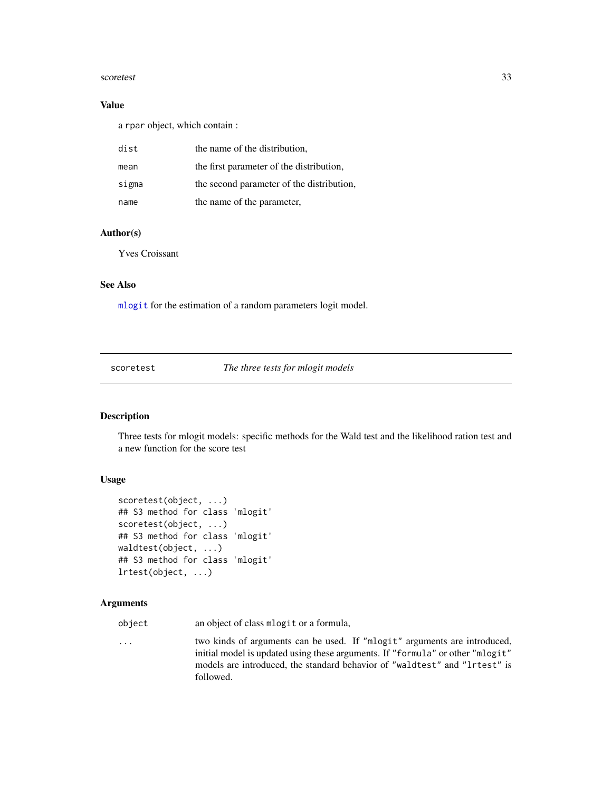#### <span id="page-32-0"></span>scoretest 33

#### Value

a rpar object, which contain :

| dist  | the name of the distribution,             |
|-------|-------------------------------------------|
| mean  | the first parameter of the distribution,  |
| sigma | the second parameter of the distribution, |
| name  | the name of the parameter,                |

#### Author(s)

Yves Croissant

#### See Also

[mlogit](#page-17-1) for the estimation of a random parameters logit model.

scoretest *The three tests for mlogit models*

#### Description

Three tests for mlogit models: specific methods for the Wald test and the likelihood ration test and a new function for the score test

#### Usage

```
scoretest(object, ...)
## S3 method for class 'mlogit'
scoretest(object, ...)
## S3 method for class 'mlogit'
waldtest(object, ...)
## S3 method for class 'mlogit'
lrtest(object, ...)
```
#### Arguments

object an object of class mlogit or a formula,

... two kinds of arguments can be used. If "mlogit" arguments are introduced, initial model is updated using these arguments. If "formula" or other "mlogit" models are introduced, the standard behavior of "waldtest" and "lrtest" is followed.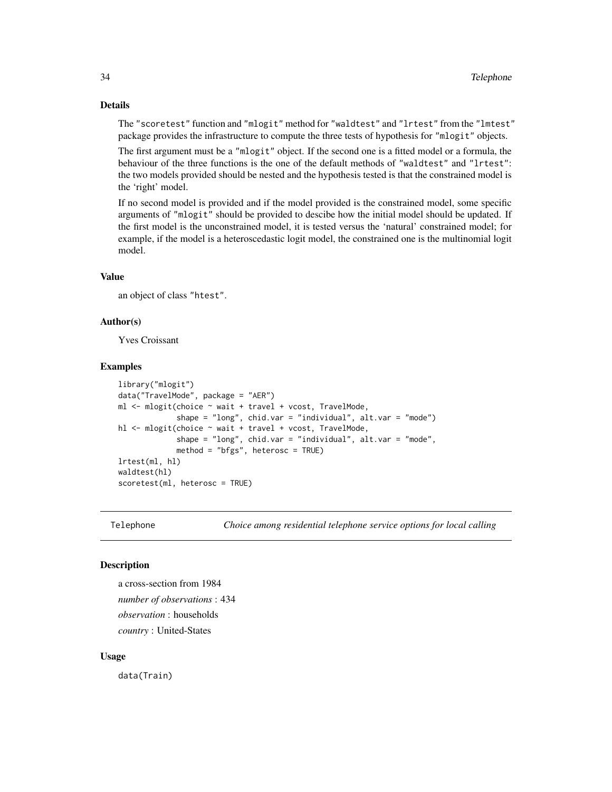#### Details

The "scoretest" function and "mlogit" method for "waldtest" and "lrtest" from the "lmtest" package provides the infrastructure to compute the three tests of hypothesis for "mlogit" objects.

The first argument must be a "mlogit" object. If the second one is a fitted model or a formula, the behaviour of the three functions is the one of the default methods of "waldtest" and "lrtest": the two models provided should be nested and the hypothesis tested is that the constrained model is the 'right' model.

If no second model is provided and if the model provided is the constrained model, some specific arguments of "mlogit" should be provided to descibe how the initial model should be updated. If the first model is the unconstrained model, it is tested versus the 'natural' constrained model; for example, if the model is a heteroscedastic logit model, the constrained one is the multinomial logit model.

#### Value

an object of class "htest".

#### Author(s)

Yves Croissant

#### Examples

```
library("mlogit")
data("TravelMode", package = "AER")
ml <- mlogit(choice ~ wait + travel + vcost, TravelMode,
             shape = "long", chid.var = "individual", alt.var = "mode")
hl <- mlogit(choice ~ wait + travel + vcost, TravelMode,
             shape = "long", chid.var = "individual", alt.var = "mode",
             method = "bfgs", heterosc = TRUE)
lrtest(ml, hl)
waldtest(hl)
scoretest(ml, heterosc = TRUE)
```
Telephone *Choice among residential telephone service options for local calling*

#### Description

a cross-section from 1984 *number of observations* : 434 *observation* : households *country* : United-States

#### Usage

data(Train)

<span id="page-33-0"></span>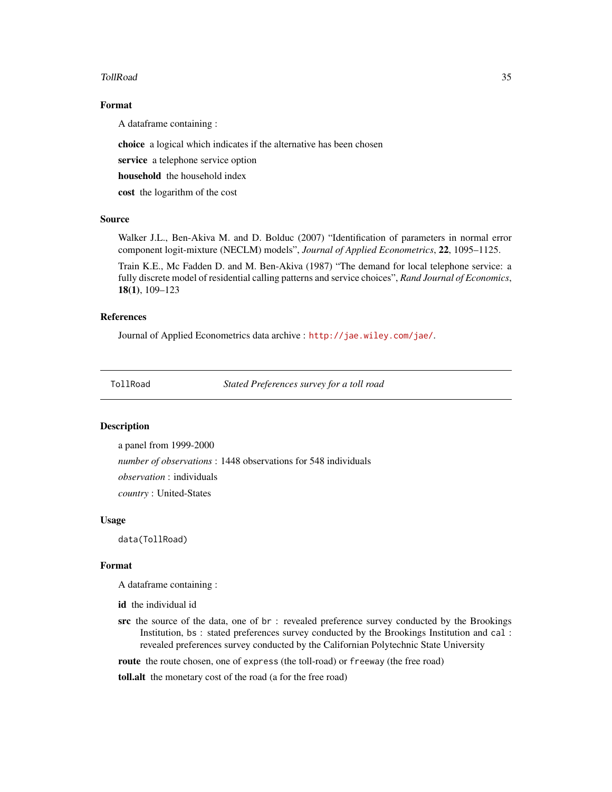#### <span id="page-34-0"></span>TollRoad 35

#### Format

A dataframe containing :

choice a logical which indicates if the alternative has been chosen

service a telephone service option

household the household index

cost the logarithm of the cost

#### Source

Walker J.L., Ben-Akiva M. and D. Bolduc (2007) "Identification of parameters in normal error component logit-mixture (NECLM) models", *Journal of Applied Econometrics*, 22, 1095–1125.

Train K.E., Mc Fadden D. and M. Ben-Akiva (1987) "The demand for local telephone service: a fully discrete model of residential calling patterns and service choices", *Rand Journal of Economics*, 18(1), 109–123

#### References

Journal of Applied Econometrics data archive : <http://jae.wiley.com/jae/>.

TollRoad *Stated Preferences survey for a toll road*

#### Description

a panel from 1999-2000

*number of observations* : 1448 observations for 548 individuals

*observation* : individuals

*country* : United-States

#### Usage

data(TollRoad)

#### Format

A dataframe containing :

id the individual id

src the source of the data, one of br : revealed preference survey conducted by the Brookings Institution, bs : stated preferences survey conducted by the Brookings Institution and cal : revealed preferences survey conducted by the Californian Polytechnic State University

route the route chosen, one of express (the toll-road) or freeway (the free road)

toll.alt the monetary cost of the road (a for the free road)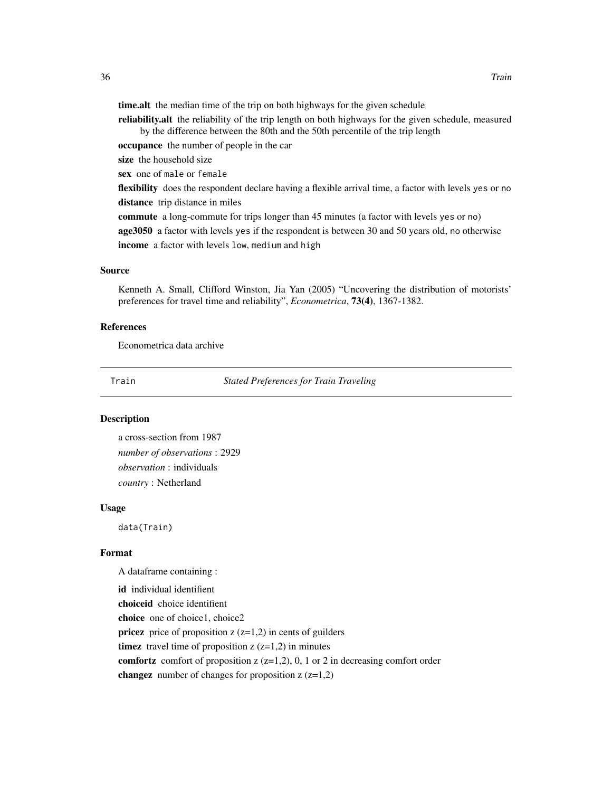<span id="page-35-0"></span>time.alt the median time of the trip on both highways for the given schedule

reliability. alt the reliability of the trip length on both highways for the given schedule, measured by the difference between the 80th and the 50th percentile of the trip length

occupance the number of people in the car

size the household size

sex one of male or female

flexibility does the respondent declare having a flexible arrival time, a factor with levels yes or no distance trip distance in miles

commute a long-commute for trips longer than 45 minutes (a factor with levels yes or no) age3050 a factor with levels yes if the respondent is between 30 and 50 years old, no otherwise income a factor with levels low, medium and high

#### Source

Kenneth A. Small, Clifford Winston, Jia Yan (2005) "Uncovering the distribution of motorists' preferences for travel time and reliability", *Econometrica*, 73(4), 1367-1382.

#### References

Econometrica data archive

Train *Stated Preferences for Train Traveling*

#### Description

a cross-section from 1987 *number of observations* : 2929 *observation* : individuals *country* : Netherland

#### Usage

data(Train)

#### Format

A dataframe containing :

id individual identifient choiceid choice identifient choice one of choice1, choice2 **pricez** price of proposition  $z$  ( $z=1,2$ ) in cents of guilders timez travel time of proposition  $z$  ( $z=1,2$ ) in minutes comfortz comfort of proposition  $z$  ( $z=1,2$ ), 0, 1 or 2 in decreasing comfort order changez number of changes for proposition  $z$  ( $z=1,2$ )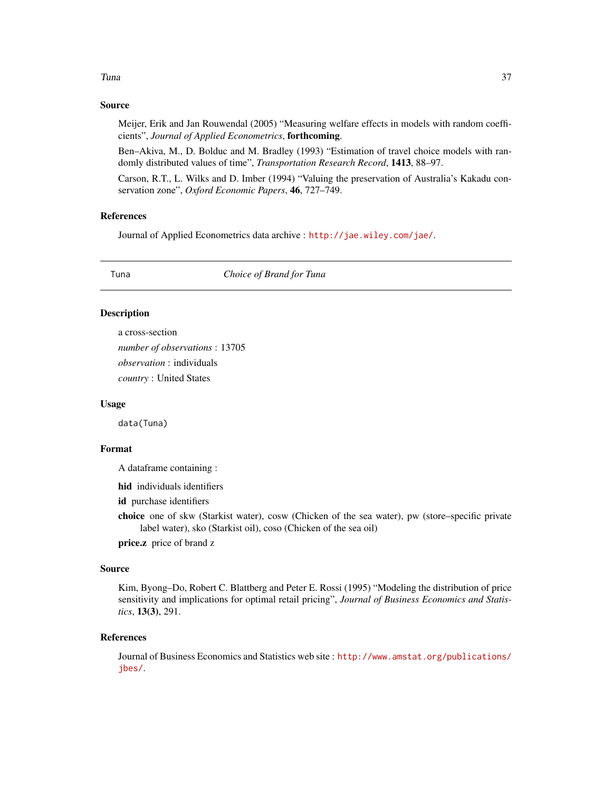#### <span id="page-36-0"></span>Tuna 37

#### Source

Meijer, Erik and Jan Rouwendal (2005) "Measuring welfare effects in models with random coefficients", *Journal of Applied Econometrics*, forthcoming.

Ben–Akiva, M., D. Bolduc and M. Bradley (1993) "Estimation of travel choice models with randomly distributed values of time", *Transportation Research Record*, 1413, 88–97.

Carson, R.T., L. Wilks and D. Imber (1994) "Valuing the preservation of Australia's Kakadu conservation zone", *Oxford Economic Papers*, 46, 727–749.

#### References

Journal of Applied Econometrics data archive : <http://jae.wiley.com/jae/>.

Tuna *Choice of Brand for Tuna*

#### Description

a cross-section *number of observations* : 13705 *observation* : individuals *country* : United States

#### Usage

data(Tuna)

#### Format

A dataframe containing :

hid individuals identifiers

id purchase identifiers

choice one of skw (Starkist water), cosw (Chicken of the sea water), pw (store–specific private label water), sko (Starkist oil), coso (Chicken of the sea oil)

price.z price of brand z

#### Source

Kim, Byong–Do, Robert C. Blattberg and Peter E. Rossi (1995) "Modeling the distribution of price sensitivity and implications for optimal retail pricing", *Journal of Business Economics and Statistics*, 13(3), 291.

#### References

Journal of Business Economics and Statistics web site : [http://www.amstat.org/publications/](http://www.amstat.org/publications/jbes/) [jbes/](http://www.amstat.org/publications/jbes/).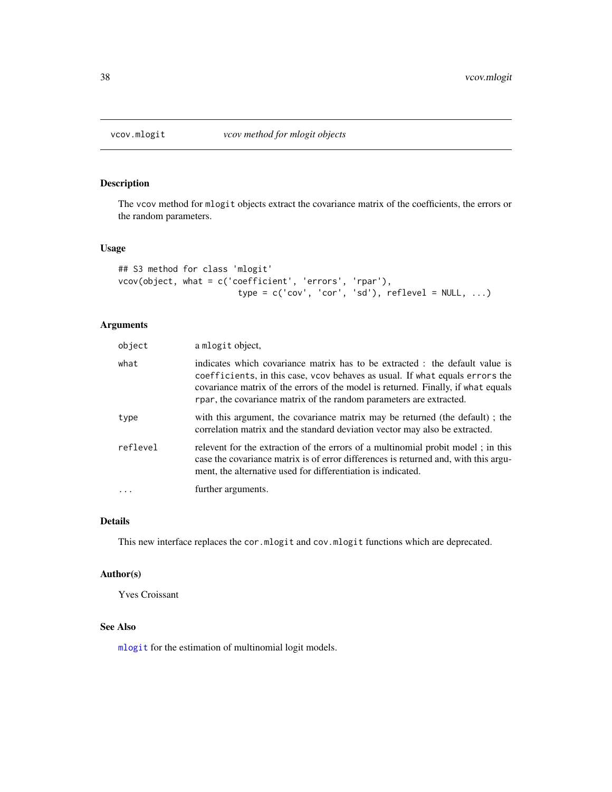<span id="page-37-0"></span>

The vcov method for mlogit objects extract the covariance matrix of the coefficients, the errors or the random parameters.

#### Usage

```
## S3 method for class 'mlogit'
vcov(object, what = c('coefficient', 'errors', 'rpar'),
                        type = c('cov', 'cor', 'sd'), reflevel = NULL, ...)
```
#### Arguments

| object   | a mlogit object,                                                                                                                                                                                                                                                                                                         |
|----------|--------------------------------------------------------------------------------------------------------------------------------------------------------------------------------------------------------------------------------------------------------------------------------------------------------------------------|
| what     | indicates which covariance matrix has to be extracted : the default value is<br>coefficients, in this case, vcov behaves as usual. If what equals errors the<br>covariance matrix of the errors of the model is returned. Finally, if what equals<br>rpar, the covariance matrix of the random parameters are extracted. |
| type     | with this argument, the covariance matrix may be returned (the default); the<br>correlation matrix and the standard deviation vector may also be extracted.                                                                                                                                                              |
| reflevel | relevent for the extraction of the errors of a multinomial probit model; in this<br>case the covariance matrix is of error differences is returned and, with this argu-<br>ment, the alternative used for differentiation is indicated.                                                                                  |
|          | further arguments.                                                                                                                                                                                                                                                                                                       |

#### Details

This new interface replaces the cor.mlogit and cov.mlogit functions which are deprecated.

#### Author(s)

Yves Croissant

#### See Also

[mlogit](#page-17-1) for the estimation of multinomial logit models.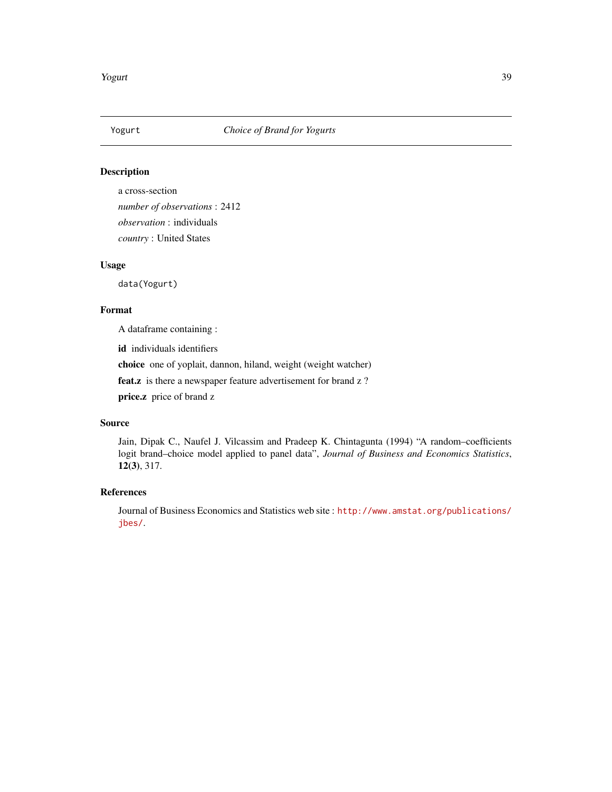<span id="page-38-0"></span>

a cross-section *number of observations* : 2412 *observation* : individuals *country* : United States

#### Usage

data(Yogurt)

#### Format

A dataframe containing :

id individuals identifiers

choice one of yoplait, dannon, hiland, weight (weight watcher)

feat.z is there a newspaper feature advertisement for brand z?

price.z price of brand z

#### Source

Jain, Dipak C., Naufel J. Vilcassim and Pradeep K. Chintagunta (1994) "A random–coefficients logit brand–choice model applied to panel data", *Journal of Business and Economics Statistics*, 12(3), 317.

#### References

Journal of Business Economics and Statistics web site : [http://www.amstat.org/publications/](http://www.amstat.org/publications/jbes/) [jbes/](http://www.amstat.org/publications/jbes/).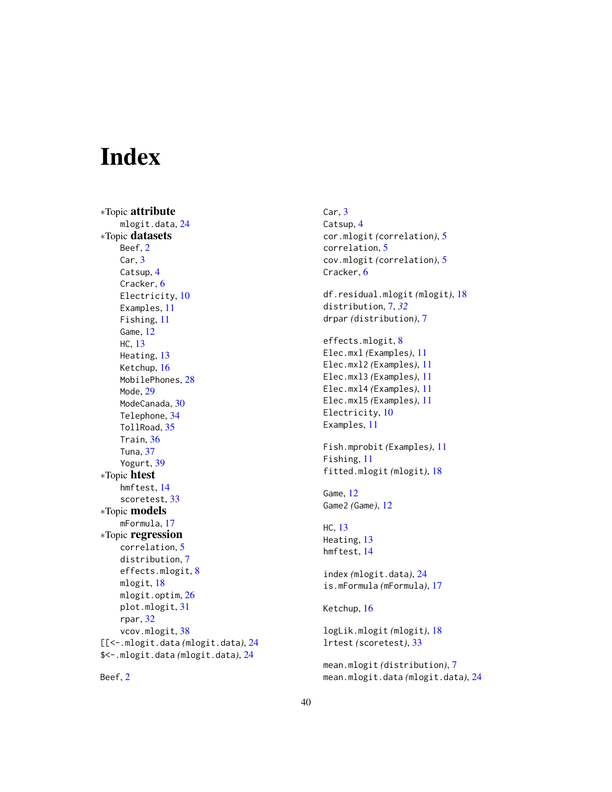# <span id="page-39-0"></span>Index

∗Topic attribute mlogit.data, [24](#page-23-0) ∗Topic datasets Beef, [2](#page-1-0) Car, [3](#page-2-0) Catsup, [4](#page-3-0) Cracker, [6](#page-5-0) Electricity, [10](#page-9-0) Examples, [11](#page-10-0) Fishing, [11](#page-10-0) Game, [12](#page-11-0) HC, [13](#page-12-0) Heating, [13](#page-12-0) Ketchup, [16](#page-15-0) MobilePhones, [28](#page-27-0) Mode, [29](#page-28-0) ModeCanada, [30](#page-29-0) Telephone, [34](#page-33-0) TollRoad, [35](#page-34-0) Train, [36](#page-35-0) Tuna, [37](#page-36-0) Yogurt, [39](#page-38-0) ∗Topic htest hmftest, [14](#page-13-0) scoretest, [33](#page-32-0) ∗Topic models mFormula, [17](#page-16-0) ∗Topic regression correlation, [5](#page-4-0) distribution, [7](#page-6-0) effects.mlogit, [8](#page-7-0) mlogit, [18](#page-17-0) mlogit.optim, [26](#page-25-0) plot.mlogit, [31](#page-30-0) rpar, [32](#page-31-0) vcov.mlogit, [38](#page-37-0) [[<-.mlogit.data *(*mlogit.data*)*, [24](#page-23-0) \$<-.mlogit.data *(*mlogit.data*)*, [24](#page-23-0)

Beef, [2](#page-1-0)

Car, [3](#page-2-0) Catsup, [4](#page-3-0) cor.mlogit *(*correlation*)*, [5](#page-4-0) correlation, [5](#page-4-0) cov.mlogit *(*correlation*)*, [5](#page-4-0) Cracker, [6](#page-5-0) df.residual.mlogit *(*mlogit*)*, [18](#page-17-0) distribution, [7,](#page-6-0) *[32](#page-31-0)* drpar *(*distribution*)*, [7](#page-6-0) effects.mlogit, [8](#page-7-0) Elec.mxl *(*Examples*)*, [11](#page-10-0) Elec.mxl2 *(*Examples*)*, [11](#page-10-0) Elec.mxl3 *(*Examples*)*, [11](#page-10-0) Elec.mxl4 *(*Examples*)*, [11](#page-10-0) Elec.mxl5 *(*Examples*)*, [11](#page-10-0) Electricity, [10](#page-9-0) Examples, [11](#page-10-0) Fish.mprobit *(*Examples*)*, [11](#page-10-0) Fishing, [11](#page-10-0) fitted.mlogit *(*mlogit*)*, [18](#page-17-0) Game, [12](#page-11-0) Game2 *(*Game*)*, [12](#page-11-0) HC, [13](#page-12-0) Heating, [13](#page-12-0) hmftest, [14](#page-13-0) index *(*mlogit.data*)*, [24](#page-23-0) is.mFormula *(*mFormula*)*, [17](#page-16-0) Ketchup, [16](#page-15-0) logLik.mlogit *(*mlogit*)*, [18](#page-17-0) lrtest *(*scoretest*)*, [33](#page-32-0) mean.mlogit *(*distribution*)*, [7](#page-6-0) mean.mlogit.data *(*mlogit.data*)*, [24](#page-23-0)